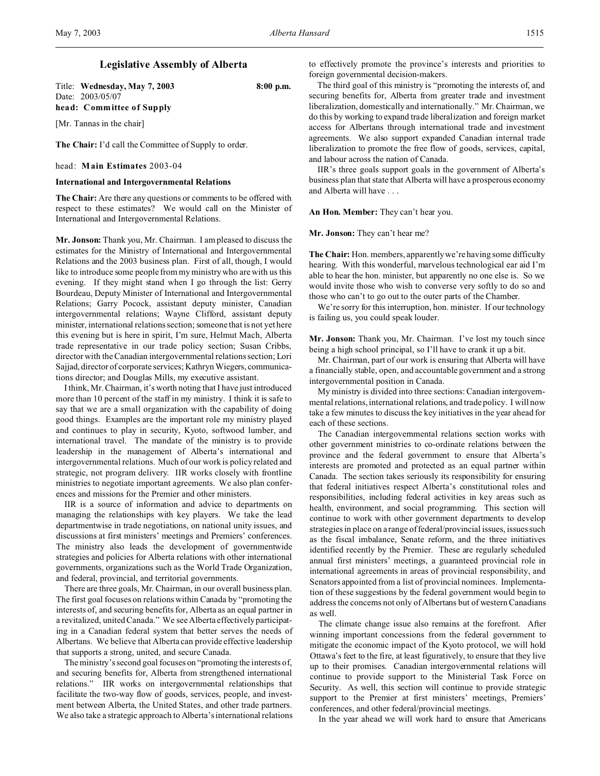Title: **Wednesday, May 7, 2003 8:00 p.m.** Date: 2003/05/07 **head: Committee of Supply**

[Mr. Tannas in the chair]

**The Chair:** I'd call the Committee of Supply to order.

head: **Main Estimates** 2003-04

# **International and Intergovernmental Relations**

**The Chair:** Are there any questions or comments to be offered with respect to these estimates? We would call on the Minister of International and Intergovernmental Relations.

**Mr. Jonson:** Thank you, Mr. Chairman. I am pleased to discuss the estimates for the Ministry of International and Intergovernmental Relations and the 2003 business plan. First of all, though, I would like to introduce some people from my ministry who are with us this evening. If they might stand when I go through the list: Gerry Bourdeau, Deputy Minister of International and Intergovernmental Relations; Garry Pocock, assistant deputy minister, Canadian intergovernmental relations; Wayne Clifford, assistant deputy minister, international relations section; someone that is not yet here this evening but is here in spirit, I'm sure, Helmut Mach, Alberta trade representative in our trade policy section; Susan Cribbs, director with the Canadian intergovernmental relations section; Lori Sajjad, director of corporate services; Kathryn Wiegers, communications director; and Douglas Mills, my executive assistant.

I think, Mr. Chairman, it's worth noting that I have just introduced more than 10 percent of the staff in my ministry. I think it is safe to say that we are a small organization with the capability of doing good things. Examples are the important role my ministry played and continues to play in security, Kyoto, softwood lumber, and international travel. The mandate of the ministry is to provide leadership in the management of Alberta's international and intergovernmental relations. Much of our work is policy related and strategic, not program delivery. IIR works closely with frontline ministries to negotiate important agreements. We also plan conferences and missions for the Premier and other ministers.

IIR is a source of information and advice to departments on managing the relationships with key players. We take the lead departmentwise in trade negotiations, on national unity issues, and discussions at first ministers' meetings and Premiers' conferences. The ministry also leads the development of governmentwide strategies and policies for Alberta relations with other international governments, organizations such as the World Trade Organization, and federal, provincial, and territorial governments.

There are three goals, Mr. Chairman, in our overall business plan. The first goal focuses on relations within Canada by "promoting the interests of, and securing benefits for, Alberta as an equal partner in a revitalized, united Canada." We see Alberta effectively participating in a Canadian federal system that better serves the needs of Albertans. We believe that Alberta can provide effective leadership that supports a strong, united, and secure Canada.

The ministry's second goal focuses on "promoting the interests of, and securing benefits for, Alberta from strengthened international relations." IIR works on intergovernmental relationships that facilitate the two-way flow of goods, services, people, and investment between Alberta, the United States, and other trade partners. We also take a strategic approach to Alberta's international relations to effectively promote the province's interests and priorities to foreign governmental decision-makers.

The third goal of this ministry is "promoting the interests of, and securing benefits for, Alberta from greater trade and investment liberalization, domestically and internationally." Mr. Chairman, we do this by working to expand trade liberalization and foreign market access for Albertans through international trade and investment agreements. We also support expanded Canadian internal trade liberalization to promote the free flow of goods, services, capital, and labour across the nation of Canada.

IIR's three goals support goals in the government of Alberta's business plan that state that Alberta will have a prosperous economy and Alberta will have . . .

**An Hon. Member:** They can't hear you.

**Mr. Jonson:** They can't hear me?

**The Chair:** Hon. members, apparently we're having some difficulty hearing. With this wonderful, marvelous technological ear aid I'm able to hear the hon. minister, but apparently no one else is. So we would invite those who wish to converse very softly to do so and those who can't to go out to the outer parts of the Chamber.

We're sorry for this interruption, hon. minister. If our technology is failing us, you could speak louder.

**Mr. Jonson:** Thank you, Mr. Chairman. I've lost my touch since being a high school principal, so I'll have to crank it up a bit.

Mr. Chairman, part of our work is ensuring that Alberta will have a financially stable, open, and accountable government and a strong intergovernmental position in Canada.

My ministry is divided into three sections: Canadian intergovernmental relations, international relations, and trade policy. I will now take a few minutes to discuss the key initiatives in the year ahead for each of these sections.

The Canadian intergovernmental relations section works with other government ministries to co-ordinate relations between the province and the federal government to ensure that Alberta's interests are promoted and protected as an equal partner within Canada. The section takes seriously its responsibility for ensuring that federal initiatives respect Alberta's constitutional roles and responsibilities, including federal activities in key areas such as health, environment, and social programming. This section will continue to work with other government departments to develop strategies in place on a range of federal/provincial issues, issues such as the fiscal imbalance, Senate reform, and the three initiatives identified recently by the Premier. These are regularly scheduled annual first ministers' meetings, a guaranteed provincial role in international agreements in areas of provincial responsibility, and Senators appointed from a list of provincial nominees. Implementation of these suggestions by the federal government would begin to address the concerns not only of Albertans but of western Canadians as well.

The climate change issue also remains at the forefront. After winning important concessions from the federal government to mitigate the economic impact of the Kyoto protocol, we will hold Ottawa's feet to the fire, at least figuratively, to ensure that they live up to their promises. Canadian intergovernmental relations will continue to provide support to the Ministerial Task Force on Security. As well, this section will continue to provide strategic support to the Premier at first ministers' meetings, Premiers' conferences, and other federal/provincial meetings.

In the year ahead we will work hard to ensure that Americans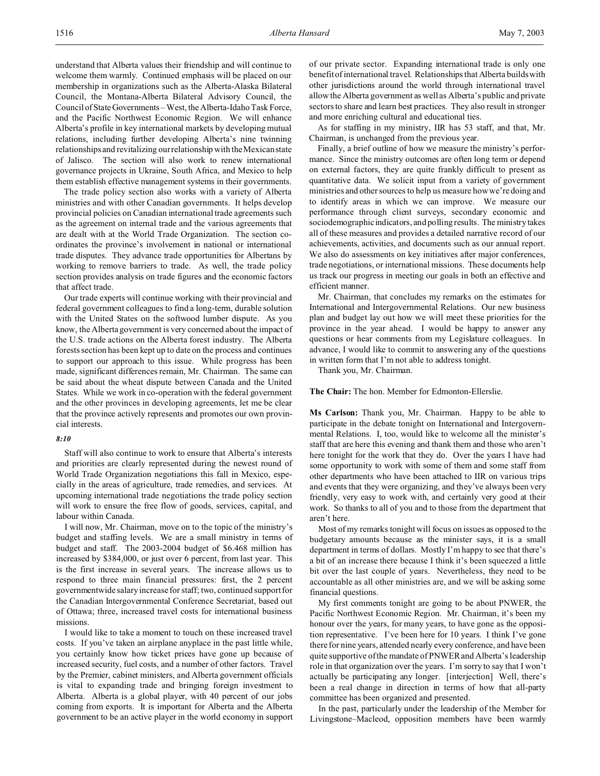understand that Alberta values their friendship and will continue to welcome them warmly. Continued emphasis will be placed on our membership in organizations such as the Alberta-Alaska Bilateral Council, the Montana-Alberta Bilateral Advisory Council, the Council of State Governments – West, the Alberta-Idaho Task Force, and the Pacific Northwest Economic Region. We will enhance Alberta's profile in key international markets by developing mutual relations, including further developing Alberta's nine twinning relationships and revitalizing our relationship with the Mexican state of Jalisco. The section will also work to renew international governance projects in Ukraine, South Africa, and Mexico to help them establish effective management systems in their governments.

The trade policy section also works with a variety of Alberta ministries and with other Canadian governments. It helps develop provincial policies on Canadian international trade agreements such as the agreement on internal trade and the various agreements that are dealt with at the World Trade Organization. The section coordinates the province's involvement in national or international trade disputes. They advance trade opportunities for Albertans by working to remove barriers to trade. As well, the trade policy section provides analysis on trade figures and the economic factors that affect trade.

Our trade experts will continue working with their provincial and federal government colleagues to find a long-term, durable solution with the United States on the softwood lumber dispute. As you know, the Alberta government is very concerned about the impact of the U.S. trade actions on the Alberta forest industry. The Alberta forests section has been kept up to date on the process and continues to support our approach to this issue. While progress has been made, significant differences remain, Mr. Chairman. The same can be said about the wheat dispute between Canada and the United States. While we work in co-operation with the federal government and the other provinces in developing agreements, let me be clear that the province actively represents and promotes our own provincial interests.

#### *8:10*

Staff will also continue to work to ensure that Alberta's interests and priorities are clearly represented during the newest round of World Trade Organization negotiations this fall in Mexico, especially in the areas of agriculture, trade remedies, and services. At upcoming international trade negotiations the trade policy section will work to ensure the free flow of goods, services, capital, and labour within Canada.

I will now, Mr. Chairman, move on to the topic of the ministry's budget and staffing levels. We are a small ministry in terms of budget and staff. The 2003-2004 budget of \$6.468 million has increased by \$384,000, or just over 6 percent, from last year. This is the first increase in several years. The increase allows us to respond to three main financial pressures: first, the 2 percent governmentwide salary increase for staff; two, continued support for the Canadian Intergovernmental Conference Secretariat, based out of Ottawa; three, increased travel costs for international business missions.

I would like to take a moment to touch on these increased travel costs. If you've taken an airplane anyplace in the past little while, you certainly know how ticket prices have gone up because of increased security, fuel costs, and a number of other factors. Travel by the Premier, cabinet ministers, and Alberta government officials is vital to expanding trade and bringing foreign investment to Alberta. Alberta is a global player, with 40 percent of our jobs coming from exports. It is important for Alberta and the Alberta government to be an active player in the world economy in support of our private sector. Expanding international trade is only one benefit of international travel. Relationships that Alberta builds with other jurisdictions around the world through international travel allow the Alberta government as well as Alberta's public and private sectors to share and learn best practices. They also result in stronger and more enriching cultural and educational ties.

As for staffing in my ministry, IIR has 53 staff, and that, Mr. Chairman, is unchanged from the previous year.

Finally, a brief outline of how we measure the ministry's performance. Since the ministry outcomes are often long term or depend on external factors, they are quite frankly difficult to present as quantitative data. We solicit input from a variety of government ministries and other sources to help us measure how we're doing and to identify areas in which we can improve. We measure our performance through client surveys, secondary economic and sociodemographic indicators, and polling results. The ministry takes all of these measures and provides a detailed narrative record of our achievements, activities, and documents such as our annual report. We also do assessments on key initiatives after major conferences, trade negotiations, or international missions. These documents help us track our progress in meeting our goals in both an effective and efficient manner.

Mr. Chairman, that concludes my remarks on the estimates for International and Intergovernmental Relations. Our new business plan and budget lay out how we will meet these priorities for the province in the year ahead. I would be happy to answer any questions or hear comments from my Legislature colleagues. In advance, I would like to commit to answering any of the questions in written form that I'm not able to address tonight.

Thank you, Mr. Chairman.

**The Chair:** The hon. Member for Edmonton-Ellerslie.

**Ms Carlson:** Thank you, Mr. Chairman. Happy to be able to participate in the debate tonight on International and Intergovernmental Relations. I, too, would like to welcome all the minister's staff that are here this evening and thank them and those who aren't here tonight for the work that they do. Over the years I have had some opportunity to work with some of them and some staff from other departments who have been attached to IIR on various trips and events that they were organizing, and they've always been very friendly, very easy to work with, and certainly very good at their work. So thanks to all of you and to those from the department that aren't here.

Most of my remarks tonight will focus on issues as opposed to the budgetary amounts because as the minister says, it is a small department in terms of dollars. Mostly I'm happy to see that there's a bit of an increase there because I think it's been squeezed a little bit over the last couple of years. Nevertheless, they need to be accountable as all other ministries are, and we will be asking some financial questions.

My first comments tonight are going to be about PNWER, the Pacific Northwest Economic Region. Mr. Chairman, it's been my honour over the years, for many years, to have gone as the opposition representative. I've been here for 10 years. I think I've gone there for nine years, attended nearly every conference, and have been quite supportive of the mandate of PNWER and Alberta's leadership role in that organization over the years. I'm sorry to say that I won't actually be participating any longer. [interjection] Well, there's been a real change in direction in terms of how that all-party committee has been organized and presented.

In the past, particularly under the leadership of the Member for Livingstone–Macleod, opposition members have been warmly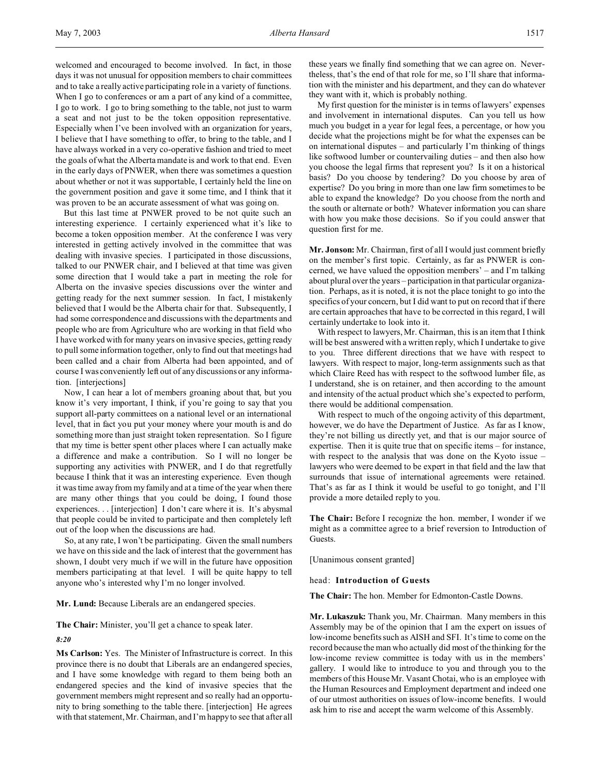welcomed and encouraged to become involved. In fact, in those days it was not unusual for opposition members to chair committees and to take a really active participating role in a variety of functions. When I go to conferences or am a part of any kind of a committee, I go to work. I go to bring something to the table, not just to warm a seat and not just to be the token opposition representative. Especially when I've been involved with an organization for years, I believe that I have something to offer, to bring to the table, and I have always worked in a very co-operative fashion and tried to meet the goals of what the Alberta mandate is and work to that end. Even in the early days of PNWER, when there was sometimes a question about whether or not it was supportable, I certainly held the line on the government position and gave it some time, and I think that it was proven to be an accurate assessment of what was going on.

But this last time at PNWER proved to be not quite such an interesting experience. I certainly experienced what it's like to become a token opposition member. At the conference I was very interested in getting actively involved in the committee that was dealing with invasive species. I participated in those discussions, talked to our PNWER chair, and I believed at that time was given some direction that I would take a part in meeting the role for Alberta on the invasive species discussions over the winter and getting ready for the next summer session. In fact, I mistakenly believed that I would be the Alberta chair for that. Subsequently, I had some correspondence and discussions with the departments and people who are from Agriculture who are working in that field who I have worked with for many years on invasive species, getting ready to pull some information together, only to find out that meetings had been called and a chair from Alberta had been appointed, and of course I was conveniently left out of any discussions or any information. [interjections]

Now, I can hear a lot of members groaning about that, but you know it's very important, I think, if you're going to say that you support all-party committees on a national level or an international level, that in fact you put your money where your mouth is and do something more than just straight token representation. So I figure that my time is better spent other places where I can actually make a difference and make a contribution. So I will no longer be supporting any activities with PNWER, and I do that regretfully because I think that it was an interesting experience. Even though it was time away from my family and at a time of the year when there are many other things that you could be doing, I found those experiences. . . [interjection] I don't care where it is. It's abysmal that people could be invited to participate and then completely left out of the loop when the discussions are had.

So, at any rate, I won't be participating. Given the small numbers we have on this side and the lack of interest that the government has shown, I doubt very much if we will in the future have opposition members participating at that level. I will be quite happy to tell anyone who's interested why I'm no longer involved.

**Mr. Lund:** Because Liberals are an endangered species.

**The Chair:** Minister, you'll get a chance to speak later.

*8:20*

**Ms Carlson:** Yes. The Minister of Infrastructure is correct. In this province there is no doubt that Liberals are an endangered species, and I have some knowledge with regard to them being both an endangered species and the kind of invasive species that the government members might represent and so really had an opportunity to bring something to the table there. [interjection] He agrees with that statement, Mr. Chairman, and I'm happy to see that after all these years we finally find something that we can agree on. Nevertheless, that's the end of that role for me, so I'll share that information with the minister and his department, and they can do whatever they want with it, which is probably nothing.

My first question for the minister is in terms of lawyers' expenses and involvement in international disputes. Can you tell us how much you budget in a year for legal fees, a percentage, or how you decide what the projections might be for what the expenses can be on international disputes – and particularly I'm thinking of things like softwood lumber or countervailing duties – and then also how you choose the legal firms that represent you? Is it on a historical basis? Do you choose by tendering? Do you choose by area of expertise? Do you bring in more than one law firm sometimes to be able to expand the knowledge? Do you choose from the north and the south or alternate or both? Whatever information you can share with how you make those decisions. So if you could answer that question first for me.

**Mr. Jonson:** Mr. Chairman, first of all I would just comment briefly on the member's first topic. Certainly, as far as PNWER is concerned, we have valued the opposition members' – and I'm talking about plural over the years – participation in that particular organization. Perhaps, as it is noted, it is not the place tonight to go into the specifics of your concern, but I did want to put on record that if there are certain approaches that have to be corrected in this regard, I will certainly undertake to look into it.

With respect to lawyers, Mr. Chairman, this is an item that I think will be best answered with a written reply, which I undertake to give to you. Three different directions that we have with respect to lawyers. With respect to major, long-term assignments such as that which Claire Reed has with respect to the softwood lumber file, as I understand, she is on retainer, and then according to the amount and intensity of the actual product which she's expected to perform, there would be additional compensation.

With respect to much of the ongoing activity of this department, however, we do have the Department of Justice. As far as I know, they're not billing us directly yet, and that is our major source of expertise. Then it is quite true that on specific items – for instance, with respect to the analysis that was done on the Kyoto issue – lawyers who were deemed to be expert in that field and the law that surrounds that issue of international agreements were retained. That's as far as I think it would be useful to go tonight, and I'll provide a more detailed reply to you.

**The Chair:** Before I recognize the hon. member, I wonder if we might as a committee agree to a brief reversion to Introduction of Guests.

[Unanimous consent granted]

head: **Introduction of Guests**

**The Chair:** The hon. Member for Edmonton-Castle Downs.

**Mr. Lukaszuk:** Thank you, Mr. Chairman. Many members in this Assembly may be of the opinion that I am the expert on issues of low-income benefits such as AISH and SFI. It's time to come on the record because the man who actually did most of the thinking for the low-income review committee is today with us in the members' gallery. I would like to introduce to you and through you to the members of this House Mr. Vasant Chotai, who is an employee with the Human Resources and Employment department and indeed one of our utmost authorities on issues of low-income benefits. I would ask him to rise and accept the warm welcome of this Assembly.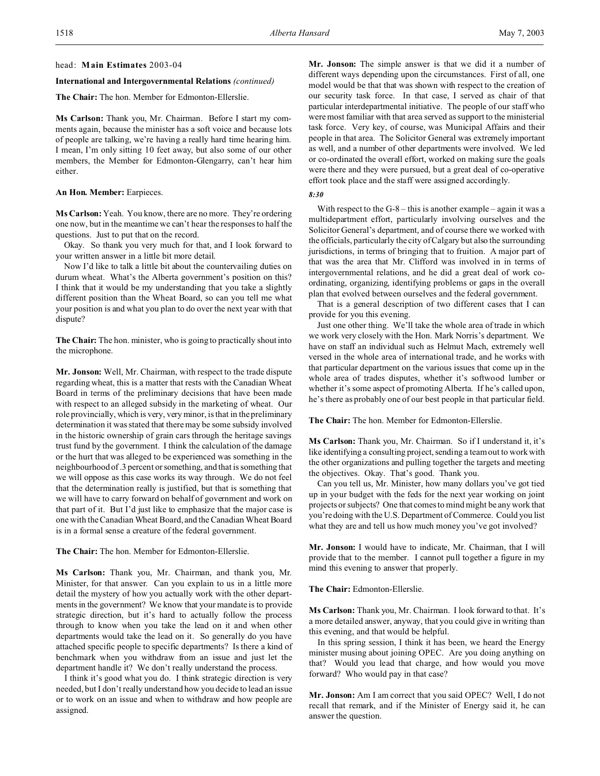### head: **Main Estimates** 2003-04

### **International and Intergovernmental Relations** *(continued)*

**The Chair:** The hon. Member for Edmonton-Ellerslie.

**Ms Carlson:** Thank you, Mr. Chairman. Before I start my comments again, because the minister has a soft voice and because lots of people are talking, we're having a really hard time hearing him. I mean, I'm only sitting 10 feet away, but also some of our other members, the Member for Edmonton-Glengarry, can't hear him either.

#### **An Hon. Member:** Earpieces.

**Ms Carlson:** Yeah. You know, there are no more. They're ordering one now, but in the meantime we can't hear the responses to half the questions. Just to put that on the record.

Okay. So thank you very much for that, and I look forward to your written answer in a little bit more detail.

Now I'd like to talk a little bit about the countervailing duties on durum wheat. What's the Alberta government's position on this? I think that it would be my understanding that you take a slightly different position than the Wheat Board, so can you tell me what your position is and what you plan to do over the next year with that dispute?

**The Chair:** The hon. minister, who is going to practically shout into the microphone.

**Mr. Jonson:** Well, Mr. Chairman, with respect to the trade dispute regarding wheat, this is a matter that rests with the Canadian Wheat Board in terms of the preliminary decisions that have been made with respect to an alleged subsidy in the marketing of wheat. Our role provincially, which is very, very minor, is that in the preliminary determination it was stated that there may be some subsidy involved in the historic ownership of grain cars through the heritage savings trust fund by the government. I think the calculation of the damage or the hurt that was alleged to be experienced was something in the neighbourhood of .3 percent or something, and that is something that we will oppose as this case works its way through. We do not feel that the determination really is justified, but that is something that we will have to carry forward on behalf of government and work on that part of it. But I'd just like to emphasize that the major case is one with the Canadian Wheat Board, and the Canadian Wheat Board is in a formal sense a creature of the federal government.

**The Chair:** The hon. Member for Edmonton-Ellerslie.

**Ms Carlson:** Thank you, Mr. Chairman, and thank you, Mr. Minister, for that answer. Can you explain to us in a little more detail the mystery of how you actually work with the other departments in the government? We know that your mandate is to provide strategic direction, but it's hard to actually follow the process through to know when you take the lead on it and when other departments would take the lead on it. So generally do you have attached specific people to specific departments? Is there a kind of benchmark when you withdraw from an issue and just let the department handle it? We don't really understand the process.

I think it's good what you do. I think strategic direction is very needed, but I don't really understand how you decide to lead an issue or to work on an issue and when to withdraw and how people are assigned.

**Mr. Jonson:** The simple answer is that we did it a number of different ways depending upon the circumstances. First of all, one model would be that that was shown with respect to the creation of our security task force. In that case, I served as chair of that particular interdepartmental initiative. The people of our staff who were most familiar with that area served as support to the ministerial task force. Very key, of course, was Municipal Affairs and their people in that area. The Solicitor General was extremely important as well, and a number of other departments were involved. We led or co-ordinated the overall effort, worked on making sure the goals were there and they were pursued, but a great deal of co-operative effort took place and the staff were assigned accordingly.

### *8:30*

With respect to the  $G-8$  – this is another example – again it was a multidepartment effort, particularly involving ourselves and the Solicitor General's department, and of course there we worked with the officials, particularly the city of Calgary but also the surrounding jurisdictions, in terms of bringing that to fruition. A major part of that was the area that Mr. Clifford was involved in in terms of intergovernmental relations, and he did a great deal of work coordinating, organizing, identifying problems or gaps in the overall plan that evolved between ourselves and the federal government.

That is a general description of two different cases that I can provide for you this evening.

Just one other thing. We'll take the whole area of trade in which we work very closely with the Hon. Mark Norris's department. We have on staff an individual such as Helmut Mach, extremely well versed in the whole area of international trade, and he works with that particular department on the various issues that come up in the whole area of trades disputes, whether it's softwood lumber or whether it's some aspect of promoting Alberta. If he's called upon, he's there as probably one of our best people in that particular field.

**The Chair:** The hon. Member for Edmonton-Ellerslie.

**Ms Carlson:** Thank you, Mr. Chairman. So if I understand it, it's like identifying a consulting project, sending a team out to work with the other organizations and pulling together the targets and meeting the objectives. Okay. That's good. Thank you.

Can you tell us, Mr. Minister, how many dollars you've got tied up in your budget with the feds for the next year working on joint projects or subjects? One that comes to mind might be any work that you're doing with the U.S. Department of Commerce. Could you list what they are and tell us how much money you've got involved?

**Mr. Jonson:** I would have to indicate, Mr. Chairman, that I will provide that to the member. I cannot pull together a figure in my mind this evening to answer that properly.

**The Chair:** Edmonton-Ellerslie.

**Ms Carlson:** Thank you, Mr. Chairman. I look forward to that. It's a more detailed answer, anyway, that you could give in writing than this evening, and that would be helpful.

In this spring session, I think it has been, we heard the Energy minister musing about joining OPEC. Are you doing anything on that? Would you lead that charge, and how would you move forward? Who would pay in that case?

**Mr. Jonson:** Am I am correct that you said OPEC? Well, I do not recall that remark, and if the Minister of Energy said it, he can answer the question.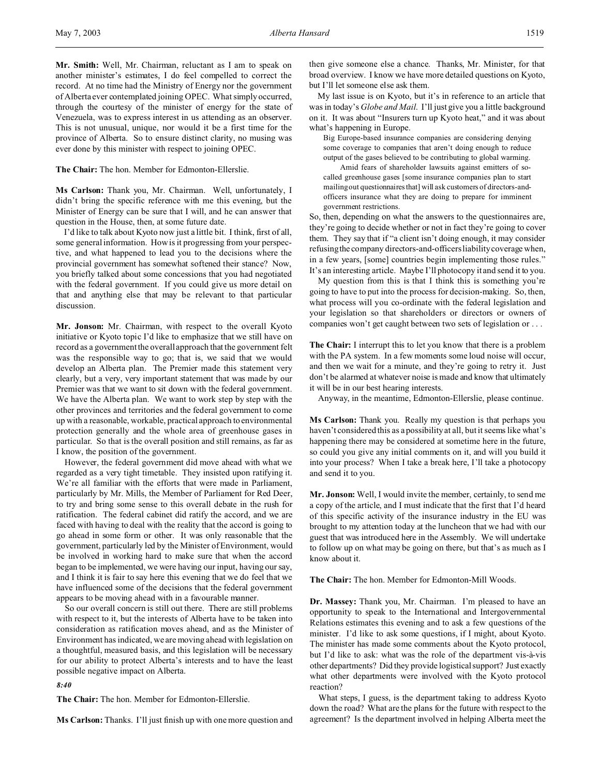**Mr. Smith:** Well, Mr. Chairman, reluctant as I am to speak on another minister's estimates, I do feel compelled to correct the record. At no time had the Ministry of Energy nor the government of Alberta ever contemplated joining OPEC. What simply occurred, through the courtesy of the minister of energy for the state of Venezuela, was to express interest in us attending as an observer. This is not unusual, unique, nor would it be a first time for the province of Alberta. So to ensure distinct clarity, no musing was ever done by this minister with respect to joining OPEC.

**The Chair:** The hon. Member for Edmonton-Ellerslie.

**Ms Carlson:** Thank you, Mr. Chairman. Well, unfortunately, I didn't bring the specific reference with me this evening, but the Minister of Energy can be sure that I will, and he can answer that question in the House, then, at some future date.

I'd like to talk about Kyoto now just a little bit. I think, first of all, some general information. How is it progressing from your perspective, and what happened to lead you to the decisions where the provincial government has somewhat softened their stance? Now, you briefly talked about some concessions that you had negotiated with the federal government. If you could give us more detail on that and anything else that may be relevant to that particular discussion.

**Mr. Jonson:** Mr. Chairman, with respect to the overall Kyoto initiative or Kyoto topic I'd like to emphasize that we still have on record as a government the overall approach that the government felt was the responsible way to go; that is, we said that we would develop an Alberta plan. The Premier made this statement very clearly, but a very, very important statement that was made by our Premier was that we want to sit down with the federal government. We have the Alberta plan. We want to work step by step with the other provinces and territories and the federal government to come up with a reasonable, workable, practical approach to environmental protection generally and the whole area of greenhouse gases in particular. So that is the overall position and still remains, as far as I know, the position of the government.

However, the federal government did move ahead with what we regarded as a very tight timetable. They insisted upon ratifying it. We're all familiar with the efforts that were made in Parliament, particularly by Mr. Mills, the Member of Parliament for Red Deer, to try and bring some sense to this overall debate in the rush for ratification. The federal cabinet did ratify the accord, and we are faced with having to deal with the reality that the accord is going to go ahead in some form or other. It was only reasonable that the government, particularly led by the Minister of Environment, would be involved in working hard to make sure that when the accord began to be implemented, we were having our input, having our say, and I think it is fair to say here this evening that we do feel that we have influenced some of the decisions that the federal government appears to be moving ahead with in a favourable manner.

So our overall concern is still out there. There are still problems with respect to it, but the interests of Alberta have to be taken into consideration as ratification moves ahead, and as the Minister of Environment has indicated, we are moving ahead with legislation on a thoughtful, measured basis, and this legislation will be necessary for our ability to protect Alberta's interests and to have the least possible negative impact on Alberta.

*8:40*

**The Chair:** The hon. Member for Edmonton-Ellerslie.

**Ms Carlson:** Thanks. I'll just finish up with one more question and

then give someone else a chance. Thanks, Mr. Minister, for that broad overview. I know we have more detailed questions on Kyoto, but I'll let someone else ask them.

My last issue is on Kyoto, but it's in reference to an article that was in today's *Globe and Mail*. I'll just give you a little background on it. It was about "Insurers turn up Kyoto heat," and it was about what's happening in Europe.

Big Europe-based insurance companies are considering denying some coverage to companies that aren't doing enough to reduce output of the gases believed to be contributing to global warming.

Amid fears of shareholder lawsuits against emitters of socalled greenhouse gases [some insurance companies plan to start mailing out questionnaires that] will ask customers of directors-andofficers insurance what they are doing to prepare for imminent government restrictions.

So, then, depending on what the answers to the questionnaires are, they're going to decide whether or not in fact they're going to cover them. They say that if "a client isn't doing enough, it may consider refusing the company directors-and-officers liability coverage when, in a few years, [some] countries begin implementing those rules." It's an interesting article. Maybe I'll photocopy it and send it to you.

My question from this is that I think this is something you're going to have to put into the process for decision-making. So, then, what process will you co-ordinate with the federal legislation and your legislation so that shareholders or directors or owners of companies won't get caught between two sets of legislation or . . .

**The Chair:** I interrupt this to let you know that there is a problem with the PA system. In a few moments some loud noise will occur, and then we wait for a minute, and they're going to retry it. Just don't be alarmed at whatever noise is made and know that ultimately it will be in our best hearing interests.

Anyway, in the meantime, Edmonton-Ellerslie, please continue.

**Ms Carlson:** Thank you. Really my question is that perhaps you haven't considered this as a possibility at all, but it seems like what's happening there may be considered at sometime here in the future, so could you give any initial comments on it, and will you build it into your process? When I take a break here, I'll take a photocopy and send it to you.

**Mr. Jonson:** Well, I would invite the member, certainly, to send me a copy of the article, and I must indicate that the first that I'd heard of this specific activity of the insurance industry in the EU was brought to my attention today at the luncheon that we had with our guest that was introduced here in the Assembly. We will undertake to follow up on what may be going on there, but that's as much as I know about it.

**The Chair:** The hon. Member for Edmonton-Mill Woods.

**Dr. Massey:** Thank you, Mr. Chairman. I'm pleased to have an opportunity to speak to the International and Intergovernmental Relations estimates this evening and to ask a few questions of the minister. I'd like to ask some questions, if I might, about Kyoto. The minister has made some comments about the Kyoto protocol, but I'd like to ask: what was the role of the department vis-à-vis other departments? Did they provide logistical support? Just exactly what other departments were involved with the Kyoto protocol reaction?

What steps, I guess, is the department taking to address Kyoto down the road? What are the plans for the future with respect to the agreement? Is the department involved in helping Alberta meet the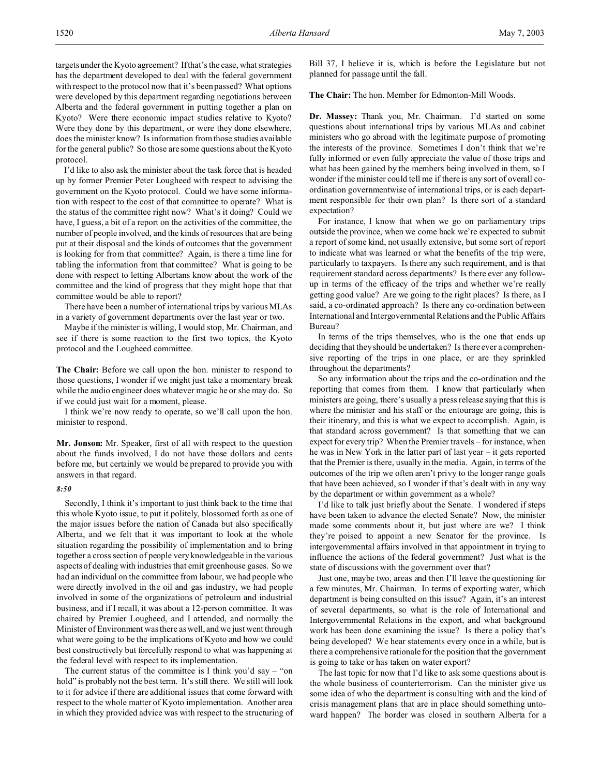targets under the Kyoto agreement? If that's the case, what strategies has the department developed to deal with the federal government with respect to the protocol now that it's been passed? What options were developed by this department regarding negotiations between Alberta and the federal government in putting together a plan on Kyoto? Were there economic impact studies relative to Kyoto? Were they done by this department, or were they done elsewhere, does the minister know? Is information from those studies available for the general public? So those are some questions about the Kyoto protocol.

I'd like to also ask the minister about the task force that is headed up by former Premier Peter Lougheed with respect to advising the government on the Kyoto protocol. Could we have some information with respect to the cost of that committee to operate? What is the status of the committee right now? What's it doing? Could we have, I guess, a bit of a report on the activities of the committee, the number of people involved, and the kinds of resources that are being put at their disposal and the kinds of outcomes that the government is looking for from that committee? Again, is there a time line for tabling the information from that committee? What is going to be done with respect to letting Albertans know about the work of the committee and the kind of progress that they might hope that that committee would be able to report?

There have been a number of international trips by various MLAs in a variety of government departments over the last year or two.

Maybe if the minister is willing, I would stop, Mr. Chairman, and see if there is some reaction to the first two topics, the Kyoto protocol and the Lougheed committee.

**The Chair:** Before we call upon the hon. minister to respond to those questions, I wonder if we might just take a momentary break while the audio engineer does whatever magic he or she may do. So if we could just wait for a moment, please.

I think we're now ready to operate, so we'll call upon the hon. minister to respond.

**Mr. Jonson:** Mr. Speaker, first of all with respect to the question about the funds involved, I do not have those dollars and cents before me, but certainly we would be prepared to provide you with answers in that regard.

## *8:50*

Secondly, I think it's important to just think back to the time that this whole Kyoto issue, to put it politely, blossomed forth as one of the major issues before the nation of Canada but also specifically Alberta, and we felt that it was important to look at the whole situation regarding the possibility of implementation and to bring together a cross section of people very knowledgeable in the various aspects of dealing with industries that emit greenhouse gases. So we had an individual on the committee from labour, we had people who were directly involved in the oil and gas industry, we had people involved in some of the organizations of petroleum and industrial business, and if I recall, it was about a 12-person committee. It was chaired by Premier Lougheed, and I attended, and normally the Minister of Environment was there as well, and we just went through what were going to be the implications of Kyoto and how we could best constructively but forcefully respond to what was happening at the federal level with respect to its implementation.

The current status of the committee is I think you'd say – "on hold" is probably not the best term. It's still there. We still will look to it for advice if there are additional issues that come forward with respect to the whole matter of Kyoto implementation. Another area in which they provided advice was with respect to the structuring of

Bill 37, I believe it is, which is before the Legislature but not planned for passage until the fall.

**The Chair:** The hon. Member for Edmonton-Mill Woods.

**Dr. Massey:** Thank you, Mr. Chairman. I'd started on some questions about international trips by various MLAs and cabinet ministers who go abroad with the legitimate purpose of promoting the interests of the province. Sometimes I don't think that we're fully informed or even fully appreciate the value of those trips and what has been gained by the members being involved in them, so I wonder if the minister could tell me if there is any sort of overall coordination governmentwise of international trips, or is each department responsible for their own plan? Is there sort of a standard expectation?

For instance, I know that when we go on parliamentary trips outside the province, when we come back we're expected to submit a report of some kind, not usually extensive, but some sort of report to indicate what was learned or what the benefits of the trip were, particularly to taxpayers. Is there any such requirement, and is that requirement standard across departments? Is there ever any followup in terms of the efficacy of the trips and whether we're really getting good value? Are we going to the right places? Is there, as I said, a co-ordinated approach? Is there any co-ordination between International and Intergovernmental Relations and the Public Affairs Bureau?

In terms of the trips themselves, who is the one that ends up deciding that they should be undertaken? Is there ever a comprehensive reporting of the trips in one place, or are they sprinkled throughout the departments?

So any information about the trips and the co-ordination and the reporting that comes from them. I know that particularly when ministers are going, there's usually a press release saying that this is where the minister and his staff or the entourage are going, this is their itinerary, and this is what we expect to accomplish. Again, is that standard across government? Is that something that we can expect for every trip? When the Premier travels – for instance, when he was in New York in the latter part of last year – it gets reported that the Premier is there, usually in the media. Again, in terms of the outcomes of the trip we often aren't privy to the longer range goals that have been achieved, so I wonder if that's dealt with in any way by the department or within government as a whole?

I'd like to talk just briefly about the Senate. I wondered if steps have been taken to advance the elected Senate? Now, the minister made some comments about it, but just where are we? I think they're poised to appoint a new Senator for the province. Is intergovernmental affairs involved in that appointment in trying to influence the actions of the federal government? Just what is the state of discussions with the government over that?

Just one, maybe two, areas and then I'll leave the questioning for a few minutes, Mr. Chairman. In terms of exporting water, which department is being consulted on this issue? Again, it's an interest of several departments, so what is the role of International and Intergovernmental Relations in the export, and what background work has been done examining the issue? Is there a policy that's being developed? We hear statements every once in a while, but is there a comprehensive rationale for the position that the government is going to take or has taken on water export?

The last topic for now that I'd like to ask some questions about is the whole business of counterterrorism. Can the minister give us some idea of who the department is consulting with and the kind of crisis management plans that are in place should something untoward happen? The border was closed in southern Alberta for a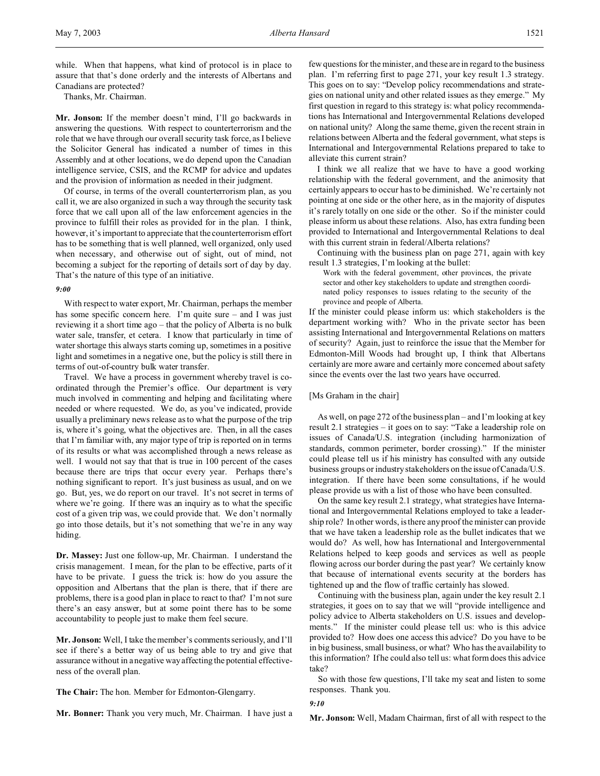while. When that happens, what kind of protocol is in place to assure that that's done orderly and the interests of Albertans and Canadians are protected?

Thanks, Mr. Chairman.

**Mr. Jonson:** If the member doesn't mind, I'll go backwards in answering the questions. With respect to counterterrorism and the role that we have through our overall security task force, as I believe the Solicitor General has indicated a number of times in this Assembly and at other locations, we do depend upon the Canadian intelligence service, CSIS, and the RCMP for advice and updates and the provision of information as needed in their judgment.

Of course, in terms of the overall counterterrorism plan, as you call it, we are also organized in such a way through the security task force that we call upon all of the law enforcement agencies in the province to fulfill their roles as provided for in the plan. I think, however, it's important to appreciate that the counterterrorism effort has to be something that is well planned, well organized, only used when necessary, and otherwise out of sight, out of mind, not becoming a subject for the reporting of details sort of day by day. That's the nature of this type of an initiative.

#### *9:00*

With respect to water export, Mr. Chairman, perhaps the member has some specific concern here. I'm quite sure – and I was just reviewing it a short time ago – that the policy of Alberta is no bulk water sale, transfer, et cetera. I know that particularly in time of water shortage this always starts coming up, sometimes in a positive light and sometimes in a negative one, but the policy is still there in terms of out-of-country bulk water transfer.

Travel. We have a process in government whereby travel is coordinated through the Premier's office. Our department is very much involved in commenting and helping and facilitating where needed or where requested. We do, as you've indicated, provide usually a preliminary news release as to what the purpose of the trip is, where it's going, what the objectives are. Then, in all the cases that I'm familiar with, any major type of trip is reported on in terms of its results or what was accomplished through a news release as well. I would not say that that is true in 100 percent of the cases because there are trips that occur every year. Perhaps there's nothing significant to report. It's just business as usual, and on we go. But, yes, we do report on our travel. It's not secret in terms of where we're going. If there was an inquiry as to what the specific cost of a given trip was, we could provide that. We don't normally go into those details, but it's not something that we're in any way hiding.

**Dr. Massey:** Just one follow-up, Mr. Chairman. I understand the crisis management. I mean, for the plan to be effective, parts of it have to be private. I guess the trick is: how do you assure the opposition and Albertans that the plan is there, that if there are problems, there is a good plan in place to react to that? I'm not sure there's an easy answer, but at some point there has to be some accountability to people just to make them feel secure.

**Mr. Jonson:** Well, I take the member's comments seriously, and I'll see if there's a better way of us being able to try and give that assurance without in a negative way affecting the potential effectiveness of the overall plan.

**The Chair:** The hon. Member for Edmonton-Glengarry.

**Mr. Bonner:** Thank you very much, Mr. Chairman. I have just a

few questions for the minister, and these are in regard to the business plan. I'm referring first to page 271, your key result 1.3 strategy. This goes on to say: "Develop policy recommendations and strategies on national unity and other related issues as they emerge." My first question in regard to this strategy is: what policy recommendations has International and Intergovernmental Relations developed on national unity? Along the same theme, given the recent strain in relations between Alberta and the federal government, what steps is International and Intergovernmental Relations prepared to take to alleviate this current strain?

I think we all realize that we have to have a good working relationship with the federal government, and the animosity that certainly appears to occur has to be diminished. We're certainly not pointing at one side or the other here, as in the majority of disputes it's rarely totally on one side or the other. So if the minister could please inform us about these relations. Also, has extra funding been provided to International and Intergovernmental Relations to deal with this current strain in federal/Alberta relations?

Continuing with the business plan on page 271, again with key result 1.3 strategies, I'm looking at the bullet:

Work with the federal government, other provinces, the private sector and other key stakeholders to update and strengthen coordinated policy responses to issues relating to the security of the province and people of Alberta.

If the minister could please inform us: which stakeholders is the department working with? Who in the private sector has been assisting International and Intergovernmental Relations on matters of security? Again, just to reinforce the issue that the Member for Edmonton-Mill Woods had brought up, I think that Albertans certainly are more aware and certainly more concerned about safety since the events over the last two years have occurred.

#### [Ms Graham in the chair]

As well, on page 272 of the business plan – and I'm looking at key result 2.1 strategies – it goes on to say: "Take a leadership role on issues of Canada/U.S. integration (including harmonization of standards, common perimeter, border crossing)." If the minister could please tell us if his ministry has consulted with any outside business groups or industry stakeholders on the issue of Canada/U.S. integration. If there have been some consultations, if he would please provide us with a list of those who have been consulted.

On the same key result 2.1 strategy, what strategies have International and Intergovernmental Relations employed to take a leadership role? In other words, is there any proof the minister can provide that we have taken a leadership role as the bullet indicates that we would do? As well, how has International and Intergovernmental Relations helped to keep goods and services as well as people flowing across our border during the past year? We certainly know that because of international events security at the borders has tightened up and the flow of traffic certainly has slowed.

Continuing with the business plan, again under the key result 2.1 strategies, it goes on to say that we will "provide intelligence and policy advice to Alberta stakeholders on U.S. issues and developments." If the minister could please tell us: who is this advice provided to? How does one access this advice? Do you have to be in big business, small business, or what? Who has the availability to this information? If he could also tell us: what form does this advice take?

So with those few questions, I'll take my seat and listen to some responses. Thank you.

*9:10*

**Mr. Jonson:** Well, Madam Chairman, first of all with respect to the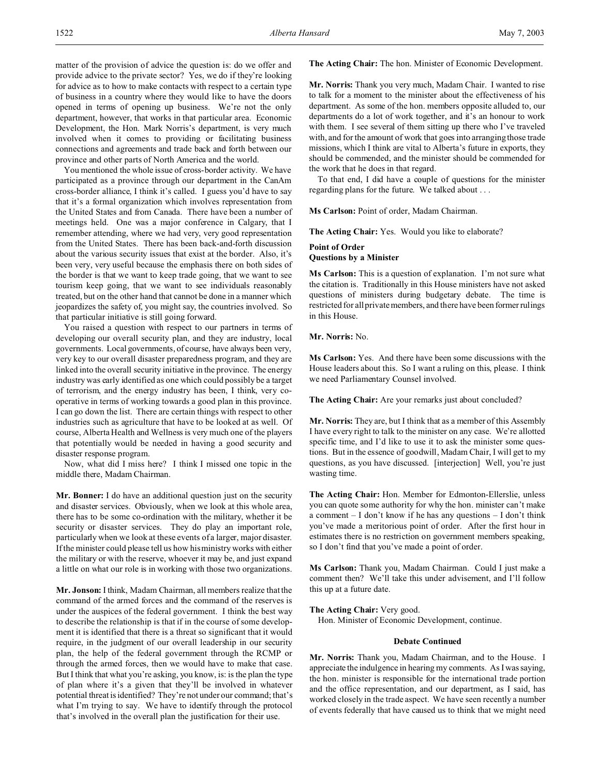matter of the provision of advice the question is: do we offer and provide advice to the private sector? Yes, we do if they're looking for advice as to how to make contacts with respect to a certain type of business in a country where they would like to have the doors opened in terms of opening up business. We're not the only department, however, that works in that particular area. Economic Development, the Hon. Mark Norris's department, is very much involved when it comes to providing or facilitating business connections and agreements and trade back and forth between our province and other parts of North America and the world.

You mentioned the whole issue of cross-border activity. We have participated as a province through our department in the CanAm cross-border alliance, I think it's called. I guess you'd have to say that it's a formal organization which involves representation from the United States and from Canada. There have been a number of meetings held. One was a major conference in Calgary, that I remember attending, where we had very, very good representation from the United States. There has been back-and-forth discussion about the various security issues that exist at the border. Also, it's been very, very useful because the emphasis there on both sides of the border is that we want to keep trade going, that we want to see tourism keep going, that we want to see individuals reasonably treated, but on the other hand that cannot be done in a manner which jeopardizes the safety of, you might say, the countries involved. So that particular initiative is still going forward.

You raised a question with respect to our partners in terms of developing our overall security plan, and they are industry, local governments. Local governments, of course, have always been very, very key to our overall disaster preparedness program, and they are linked into the overall security initiative in the province. The energy industry was early identified as one which could possibly be a target of terrorism, and the energy industry has been, I think, very cooperative in terms of working towards a good plan in this province. I can go down the list. There are certain things with respect to other industries such as agriculture that have to be looked at as well. Of course, Alberta Health and Wellness is very much one of the players that potentially would be needed in having a good security and disaster response program.

Now, what did I miss here? I think I missed one topic in the middle there, Madam Chairman.

**Mr. Bonner:** I do have an additional question just on the security and disaster services. Obviously, when we look at this whole area, there has to be some co-ordination with the military, whether it be security or disaster services. They do play an important role, particularly when we look at these events of a larger, major disaster. If the minister could please tell us how his ministry works with either the military or with the reserve, whoever it may be, and just expand a little on what our role is in working with those two organizations.

**Mr. Jonson:** I think, Madam Chairman, all members realize that the command of the armed forces and the command of the reserves is under the auspices of the federal government. I think the best way to describe the relationship is that if in the course of some development it is identified that there is a threat so significant that it would require, in the judgment of our overall leadership in our security plan, the help of the federal government through the RCMP or through the armed forces, then we would have to make that case. But I think that what you're asking, you know, is: is the plan the type of plan where it's a given that they'll be involved in whatever potential threat is identified? They're not under our command; that's what I'm trying to say. We have to identify through the protocol that's involved in the overall plan the justification for their use.

**The Acting Chair:** The hon. Minister of Economic Development.

**Mr. Norris:** Thank you very much, Madam Chair. I wanted to rise to talk for a moment to the minister about the effectiveness of his department. As some of the hon. members opposite alluded to, our departments do a lot of work together, and it's an honour to work with them. I see several of them sitting up there who I've traveled with, and for the amount of work that goes into arranging those trade missions, which I think are vital to Alberta's future in exports, they should be commended, and the minister should be commended for the work that he does in that regard.

To that end, I did have a couple of questions for the minister regarding plans for the future. We talked about . . .

**Ms Carlson:** Point of order, Madam Chairman.

**The Acting Chair:** Yes. Would you like to elaborate?

# **Point of Order Questions by a Minister**

**Ms Carlson:** This is a question of explanation. I'm not sure what the citation is. Traditionally in this House ministers have not asked questions of ministers during budgetary debate. The time is restricted for all private members, and there have been former rulings in this House.

## **Mr. Norris:** No.

**Ms Carlson:** Yes. And there have been some discussions with the House leaders about this. So I want a ruling on this, please. I think we need Parliamentary Counsel involved.

**The Acting Chair:** Are your remarks just about concluded?

**Mr. Norris:** They are, but I think that as a member of this Assembly I have every right to talk to the minister on any case. We're allotted specific time, and I'd like to use it to ask the minister some questions. But in the essence of goodwill, Madam Chair, I will get to my questions, as you have discussed. [interjection] Well, you're just wasting time.

**The Acting Chair:** Hon. Member for Edmonton-Ellerslie, unless you can quote some authority for why the hon. minister can't make a comment  $- I$  don't know if he has any questions  $- I$  don't think you've made a meritorious point of order. After the first hour in estimates there is no restriction on government members speaking, so I don't find that you've made a point of order.

**Ms Carlson:** Thank you, Madam Chairman. Could I just make a comment then? We'll take this under advisement, and I'll follow this up at a future date.

#### **The Acting Chair:** Very good.

Hon. Minister of Economic Development, continue.

# **Debate Continued**

**Mr. Norris:** Thank you, Madam Chairman, and to the House. I appreciate the indulgence in hearing my comments. As I was saying, the hon. minister is responsible for the international trade portion and the office representation, and our department, as I said, has worked closely in the trade aspect. We have seen recently a number of events federally that have caused us to think that we might need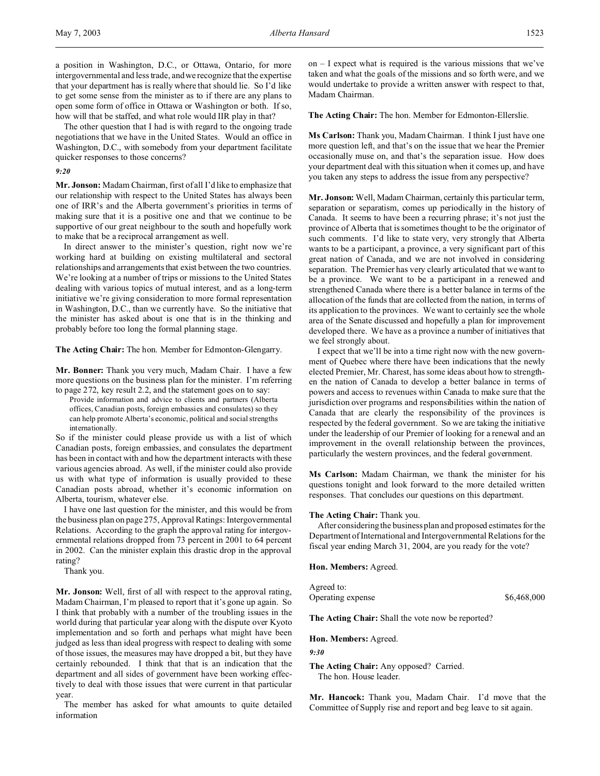The other question that I had is with regard to the ongoing trade negotiations that we have in the United States. Would an office in Washington, D.C., with somebody from your department facilitate quicker responses to those concerns?

# *9:20*

**Mr. Jonson:** Madam Chairman, first of all I'd like to emphasize that our relationship with respect to the United States has always been one of IRR's and the Alberta government's priorities in terms of making sure that it is a positive one and that we continue to be supportive of our great neighbour to the south and hopefully work to make that be a reciprocal arrangement as well.

In direct answer to the minister's question, right now we're working hard at building on existing multilateral and sectoral relationships and arrangements that exist between the two countries. We're looking at a number of trips or missions to the United States dealing with various topics of mutual interest, and as a long-term initiative we're giving consideration to more formal representation in Washington, D.C., than we currently have. So the initiative that the minister has asked about is one that is in the thinking and probably before too long the formal planning stage.

**The Acting Chair:** The hon. Member for Edmonton-Glengarry.

**Mr. Bonner:** Thank you very much, Madam Chair. I have a few more questions on the business plan for the minister. I'm referring to page 272, key result 2.2, and the statement goes on to say:

Provide information and advice to clients and partners (Alberta offices, Canadian posts, foreign embassies and consulates) so they can help promote Alberta's economic, political and social strengths internationally.

So if the minister could please provide us with a list of which Canadian posts, foreign embassies, and consulates the department has been in contact with and how the department interacts with these various agencies abroad. As well, if the minister could also provide us with what type of information is usually provided to these Canadian posts abroad, whether it's economic information on Alberta, tourism, whatever else.

I have one last question for the minister, and this would be from the business plan on page 275, Approval Ratings: Intergovernmental Relations. According to the graph the approval rating for intergovernmental relations dropped from 73 percent in 2001 to 64 percent in 2002. Can the minister explain this drastic drop in the approval rating?

Thank you.

**Mr. Jonson:** Well, first of all with respect to the approval rating, Madam Chairman, I'm pleased to report that it's gone up again. So I think that probably with a number of the troubling issues in the world during that particular year along with the dispute over Kyoto implementation and so forth and perhaps what might have been judged as less than ideal progress with respect to dealing with some of those issues, the measures may have dropped a bit, but they have certainly rebounded. I think that that is an indication that the department and all sides of government have been working effectively to deal with those issues that were current in that particular year.

The member has asked for what amounts to quite detailed information

on – I expect what is required is the various missions that we've taken and what the goals of the missions and so forth were, and we would undertake to provide a written answer with respect to that, Madam Chairman.

**The Acting Chair:** The hon. Member for Edmonton-Ellerslie.

**Ms Carlson:** Thank you, Madam Chairman. I think I just have one more question left, and that's on the issue that we hear the Premier occasionally muse on, and that's the separation issue. How does your department deal with this situation when it comes up, and have you taken any steps to address the issue from any perspective?

**Mr. Jonson:** Well, Madam Chairman, certainly this particular term, separation or separatism, comes up periodically in the history of Canada. It seems to have been a recurring phrase; it's not just the province of Alberta that is sometimes thought to be the originator of such comments. I'd like to state very, very strongly that Alberta wants to be a participant, a province, a very significant part of this great nation of Canada, and we are not involved in considering separation. The Premier has very clearly articulated that we want to be a province. We want to be a participant in a renewed and strengthened Canada where there is a better balance in terms of the allocation of the funds that are collected from the nation, in terms of its application to the provinces. We want to certainly see the whole area of the Senate discussed and hopefully a plan for improvement developed there. We have as a province a number of initiatives that we feel strongly about.

I expect that we'll be into a time right now with the new government of Quebec where there have been indications that the newly elected Premier, Mr. Charest, has some ideas about how to strengthen the nation of Canada to develop a better balance in terms of powers and access to revenues within Canada to make sure that the jurisdiction over programs and responsibilities within the nation of Canada that are clearly the responsibility of the provinces is respected by the federal government. So we are taking the initiative under the leadership of our Premier of looking for a renewal and an improvement in the overall relationship between the provinces, particularly the western provinces, and the federal government.

**Ms Carlson:** Madam Chairman, we thank the minister for his questions tonight and look forward to the more detailed written responses. That concludes our questions on this department.

### **The Acting Chair:** Thank you.

After considering the business plan and proposed estimates for the Department of International and Intergovernmental Relations for the fiscal year ending March 31, 2004, are you ready for the vote?

**Hon. Members:** Agreed.

Agreed to: Operating expense  $\$6,468,000$ 

**The Acting Chair:** Shall the vote now be reported?

**Hon. Members:** Agreed.

*9:30*

**The Acting Chair:** Any opposed? Carried. The hon. House leader.

**Mr. Hancock:** Thank you, Madam Chair. I'd move that the Committee of Supply rise and report and beg leave to sit again.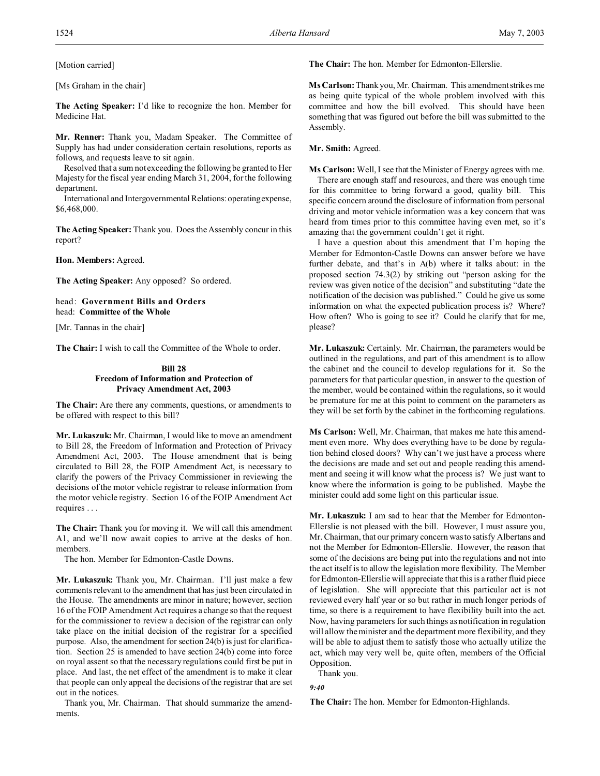[Ms Graham in the chair]

**The Acting Speaker:** I'd like to recognize the hon. Member for Medicine Hat.

**Mr. Renner:** Thank you, Madam Speaker. The Committee of Supply has had under consideration certain resolutions, reports as follows, and requests leave to sit again.

Resolved that a sum not exceeding the following be granted to Her Majesty for the fiscal year ending March 31, 2004, for the following department.

International and Intergovernmental Relations: operatingexpense, \$6,468,000.

**The Acting Speaker:** Thank you. Does the Assembly concur in this report?

**Hon. Members:** Agreed.

**The Acting Speaker:** Any opposed? So ordered.

head: **Government Bills and Orders** head: **Committee of the Whole**

[Mr. Tannas in the chair]

**The Chair:** I wish to call the Committee of the Whole to order.

### **Bill 28 Freedom of Information and Protection of Privacy Amendment Act, 2003**

**The Chair:** Are there any comments, questions, or amendments to be offered with respect to this bill?

**Mr. Lukaszuk:** Mr. Chairman, I would like to move an amendment to Bill 28, the Freedom of Information and Protection of Privacy Amendment Act, 2003. The House amendment that is being circulated to Bill 28, the FOIP Amendment Act, is necessary to clarify the powers of the Privacy Commissioner in reviewing the decisions of the motor vehicle registrar to release information from the motor vehicle registry. Section 16 of the FOIP Amendment Act requires . . .

**The Chair:** Thank you for moving it. We will call this amendment A1, and we'll now await copies to arrive at the desks of hon. members.

The hon. Member for Edmonton-Castle Downs.

**Mr. Lukaszuk:** Thank you, Mr. Chairman. I'll just make a few comments relevant to the amendment that has just been circulated in the House. The amendments are minor in nature; however, section 16 of the FOIP Amendment Act requires a change so that the request for the commissioner to review a decision of the registrar can only take place on the initial decision of the registrar for a specified purpose. Also, the amendment for section 24(b) is just for clarification. Section 25 is amended to have section 24(b) come into force on royal assent so that the necessary regulations could first be put in place. And last, the net effect of the amendment is to make it clear that people can only appeal the decisions of the registrar that are set out in the notices.

Thank you, Mr. Chairman. That should summarize the amendments.

**The Chair:** The hon. Member for Edmonton-Ellerslie.

**Ms Carlson:** Thank you, Mr. Chairman. This amendment strikes me as being quite typical of the whole problem involved with this committee and how the bill evolved. This should have been something that was figured out before the bill was submitted to the Assembly.

**Mr. Smith:** Agreed.

**Ms Carlson:** Well, I see that the Minister of Energy agrees with me.

There are enough staff and resources, and there was enough time for this committee to bring forward a good, quality bill. This specific concern around the disclosure of information from personal driving and motor vehicle information was a key concern that was heard from times prior to this committee having even met, so it's amazing that the government couldn't get it right.

I have a question about this amendment that I'm hoping the Member for Edmonton-Castle Downs can answer before we have further debate, and that's in A(b) where it talks about: in the proposed section 74.3(2) by striking out "person asking for the review was given notice of the decision" and substituting "date the notification of the decision was published." Could he give us some information on what the expected publication process is? Where? How often? Who is going to see it? Could he clarify that for me, please?

**Mr. Lukaszuk:** Certainly. Mr. Chairman, the parameters would be outlined in the regulations, and part of this amendment is to allow the cabinet and the council to develop regulations for it. So the parameters for that particular question, in answer to the question of the member, would be contained within the regulations, so it would be premature for me at this point to comment on the parameters as they will be set forth by the cabinet in the forthcoming regulations.

**Ms Carlson:** Well, Mr. Chairman, that makes me hate this amendment even more. Why does everything have to be done by regulation behind closed doors? Why can't we just have a process where the decisions are made and set out and people reading this amendment and seeing it will know what the process is? We just want to know where the information is going to be published. Maybe the minister could add some light on this particular issue.

**Mr. Lukaszuk:** I am sad to hear that the Member for Edmonton-Ellerslie is not pleased with the bill. However, I must assure you, Mr. Chairman, that our primary concern was to satisfy Albertans and not the Member for Edmonton-Ellerslie. However, the reason that some of the decisions are being put into the regulations and not into the act itself is to allow the legislation more flexibility. The Member for Edmonton-Ellerslie will appreciate that this is a rather fluid piece of legislation. She will appreciate that this particular act is not reviewed every half year or so but rather in much longer periods of time, so there is a requirement to have flexibility built into the act. Now, having parameters for such things as notification in regulation will allow the minister and the department more flexibility, and they will be able to adjust them to satisfy those who actually utilize the act, which may very well be, quite often, members of the Official Opposition.

Thank you.

*9:40*

**The Chair:** The hon. Member for Edmonton-Highlands.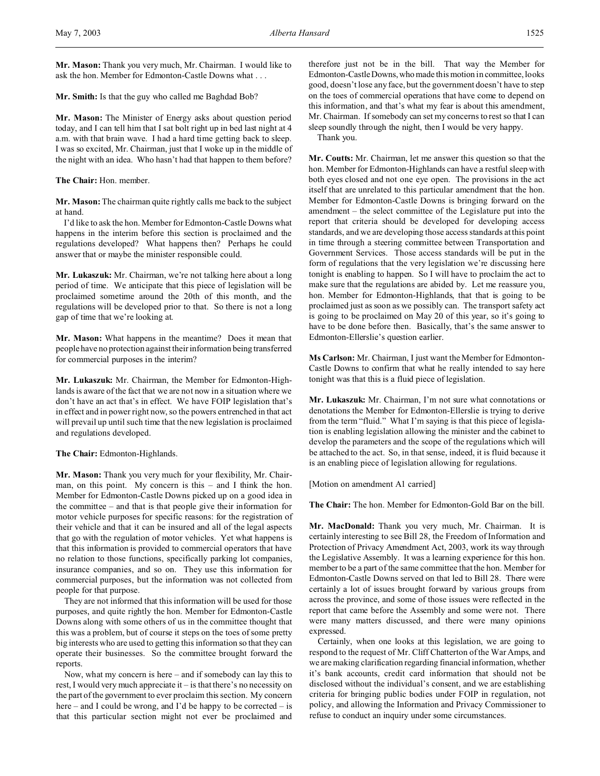**Mr. Mason:** Thank you very much, Mr. Chairman. I would like to ask the hon. Member for Edmonton-Castle Downs what . . .

**Mr. Smith:** Is that the guy who called me Baghdad Bob?

**Mr. Mason:** The Minister of Energy asks about question period today, and I can tell him that I sat bolt right up in bed last night at 4 a.m. with that brain wave. I had a hard time getting back to sleep. I was so excited, Mr. Chairman, just that I woke up in the middle of the night with an idea. Who hasn't had that happen to them before?

**The Chair:** Hon. member.

**Mr. Mason:** The chairman quite rightly calls me back to the subject at hand.

I'd like to ask the hon. Member for Edmonton-Castle Downs what happens in the interim before this section is proclaimed and the regulations developed? What happens then? Perhaps he could answer that or maybe the minister responsible could.

**Mr. Lukaszuk:** Mr. Chairman, we're not talking here about a long period of time. We anticipate that this piece of legislation will be proclaimed sometime around the 20th of this month, and the regulations will be developed prior to that. So there is not a long gap of time that we're looking at.

**Mr. Mason:** What happens in the meantime? Does it mean that people have no protection against their information being transferred for commercial purposes in the interim?

**Mr. Lukaszuk:** Mr. Chairman, the Member for Edmonton-Highlands is aware of the fact that we are not now in a situation where we don't have an act that's in effect. We have FOIP legislation that's in effect and in power right now, so the powers entrenched in that act will prevail up until such time that the new legislation is proclaimed and regulations developed.

### **The Chair:** Edmonton-Highlands.

**Mr. Mason:** Thank you very much for your flexibility, Mr. Chairman, on this point. My concern is this – and I think the hon. Member for Edmonton-Castle Downs picked up on a good idea in the committee – and that is that people give their information for motor vehicle purposes for specific reasons: for the registration of their vehicle and that it can be insured and all of the legal aspects that go with the regulation of motor vehicles. Yet what happens is that this information is provided to commercial operators that have no relation to those functions, specifically parking lot companies, insurance companies, and so on. They use this information for commercial purposes, but the information was not collected from people for that purpose.

They are not informed that this information will be used for those purposes, and quite rightly the hon. Member for Edmonton-Castle Downs along with some others of us in the committee thought that this was a problem, but of course it steps on the toes of some pretty big interests who are used to getting this information so that they can operate their businesses. So the committee brought forward the reports.

Now, what my concern is here – and if somebody can lay this to rest, I would very much appreciate it – is that there's no necessity on the part of the government to ever proclaim this section. My concern here – and I could be wrong, and I'd be happy to be corrected – is that this particular section might not ever be proclaimed and therefore just not be in the bill. That way the Member for Edmonton-CastleDowns, who made this motion in committee, looks good, doesn't lose any face, but the government doesn't have to step on the toes of commercial operations that have come to depend on this information, and that's what my fear is about this amendment, Mr. Chairman. If somebody can set my concerns to rest so that I can sleep soundly through the night, then I would be very happy.

Thank you.

**Mr. Coutts:** Mr. Chairman, let me answer this question so that the hon. Member for Edmonton-Highlands can have a restful sleep with both eyes closed and not one eye open. The provisions in the act itself that are unrelated to this particular amendment that the hon. Member for Edmonton-Castle Downs is bringing forward on the amendment – the select committee of the Legislature put into the report that criteria should be developed for developing access standards, and we are developing those access standards at this point in time through a steering committee between Transportation and Government Services. Those access standards will be put in the form of regulations that the very legislation we're discussing here tonight is enabling to happen. So I will have to proclaim the act to make sure that the regulations are abided by. Let me reassure you, hon. Member for Edmonton-Highlands, that that is going to be proclaimed just as soon as we possibly can. The transport safety act is going to be proclaimed on May 20 of this year, so it's going to have to be done before then. Basically, that's the same answer to Edmonton-Ellerslie's question earlier.

**Ms Carlson:** Mr. Chairman, I just want the Member for Edmonton-Castle Downs to confirm that what he really intended to say here tonight was that this is a fluid piece of legislation.

**Mr. Lukaszuk:** Mr. Chairman, I'm not sure what connotations or denotations the Member for Edmonton-Ellerslie is trying to derive from the term "fluid." What I'm saying is that this piece of legislation is enabling legislation allowing the minister and the cabinet to develop the parameters and the scope of the regulations which will be attached to the act. So, in that sense, indeed, it is fluid because it is an enabling piece of legislation allowing for regulations.

[Motion on amendment A1 carried]

**The Chair:** The hon. Member for Edmonton-Gold Bar on the bill.

**Mr. MacDonald:** Thank you very much, Mr. Chairman. It is certainly interesting to see Bill 28, the Freedom of Information and Protection of Privacy Amendment Act, 2003, work its way through the Legislative Assembly. It was a learning experience for this hon. member to be a part of the same committee that the hon. Member for Edmonton-Castle Downs served on that led to Bill 28. There were certainly a lot of issues brought forward by various groups from across the province, and some of those issues were reflected in the report that came before the Assembly and some were not. There were many matters discussed, and there were many opinions expressed.

Certainly, when one looks at this legislation, we are going to respond to the request of Mr. Cliff Chatterton of the War Amps, and we are making clarification regarding financial information, whether it's bank accounts, credit card information that should not be disclosed without the individual's consent, and we are establishing criteria for bringing public bodies under FOIP in regulation, not policy, and allowing the Information and Privacy Commissioner to refuse to conduct an inquiry under some circumstances.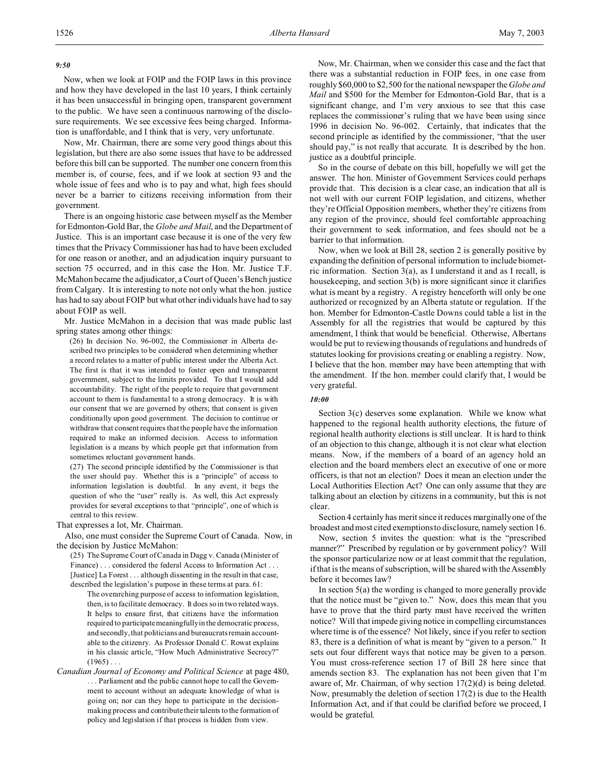## *9:50*

Now, when we look at FOIP and the FOIP laws in this province and how they have developed in the last 10 years, I think certainly it has been unsuccessful in bringing open, transparent government to the public. We have seen a continuous narrowing of the disclosure requirements. We see excessive fees being charged. Information is unaffordable, and I think that is very, very unfortunate.

Now, Mr. Chairman, there are some very good things about this legislation, but there are also some issues that have to be addressed before this bill can be supported. The number one concern from this member is, of course, fees, and if we look at section 93 and the whole issue of fees and who is to pay and what, high fees should never be a barrier to citizens receiving information from their government.

There is an ongoing historic case between myself as the Member for Edmonton-Gold Bar, the *Globe and Mail*, and the Department of Justice. This is an important case because it is one of the very few times that the Privacy Commissioner has had to have been excluded for one reason or another, and an adjudication inquiry pursuant to section 75 occurred, and in this case the Hon. Mr. Justice T.F. McMahon became the adjudicator, a Court of Queen's Bench justice from Calgary. It is interesting to note not only what the hon. justice has had to say about FOIP but what other individuals have had to say about FOIP as well.

Mr. Justice McMahon in a decision that was made public last spring states among other things:

(26) In decision No. 96-002, the Commissioner in Alberta described two principles to be considered when determining whether a record relates to a matter of public interest under the Alberta Act. The first is that it was intended to foster open and transparent government, subject to the limits provided. To that I would add accountability. The right of the people to require that government account to them is fundamental to a strong democracy. It is with our consent that we are governed by others; that consent is given conditionally upon good government. The decision to continue or withdraw that consent requires that the people have the information required to make an informed decision. Access to information legislation is a means by which people get that information from sometimes reluctant government hands.

(27) The second principle identified by the Commissioner is that the user should pay. Whether this is a "principle" of access to information legislation is doubtful. In any event, it begs the question of who the "user" really is. As well, this Act expressly provides for several exceptions to that "principle", one of which is central to this review.

### That expresses a lot, Mr. Chairman.

Also, one must consider the Supreme Court of Canada. Now, in the decision by Justice McMahon:

- (25) The Supreme Court of Canada in Dagg v. Canada (Minister of Finance) . . . considered the federal Access to Information Act . . . [Justice] La Forest . . . although dissenting in the result in that case, described the legislation's purpose in these terms at para. 61:
	- The overarching purpose of access to information legislation, then, is to facilitate democracy. It does so in two related ways. It helps to ensure first, that citizens have the information required to participate meaningfully in the democratic process, and secondly, that politicians and bureaucrats remain accountable to the citizenry. As Professor Donald C. Rowat explains in his classic article, "How Much Administrative Secrecy?"  $(1965)$ ...

*Canadian Journal of Economy and Political Science* at page 480, . . . Parliament and the public cannot hope to call the Government to account without an adequate knowledge of what is going on; nor can they hope to participate in the decisionmaking process and contribute their talents to the formation of policy and legislation if that process is hidden from view.

Now, Mr. Chairman, when we consider this case and the fact that there was a substantial reduction in FOIP fees, in one case from roughly \$60,000 to \$2,500 for the national newspaper the *Globe and Mail* and \$500 for the Member for Edmonton-Gold Bar, that is a significant change, and I'm very anxious to see that this case replaces the commissioner's ruling that we have been using since 1996 in decision No. 96-002. Certainly, that indicates that the second principle as identified by the commissioner, "that the user should pay," is not really that accurate. It is described by the hon. justice as a doubtful principle.

So in the course of debate on this bill, hopefully we will get the answer. The hon. Minister of Government Services could perhaps provide that. This decision is a clear case, an indication that all is not well with our current FOIP legislation, and citizens, whether they're Official Opposition members, whether they're citizens from any region of the province, should feel comfortable approaching their government to seek information, and fees should not be a barrier to that information.

Now, when we look at Bill 28, section 2 is generally positive by expanding the definition of personal information to include biometric information. Section 3(a), as I understand it and as I recall, is housekeeping, and section 3(b) is more significant since it clarifies what is meant by a registry. A registry henceforth will only be one authorized or recognized by an Alberta statute or regulation. If the hon. Member for Edmonton-Castle Downs could table a list in the Assembly for all the registries that would be captured by this amendment, I think that would be beneficial. Otherwise, Albertans would be put to reviewing thousands of regulations and hundreds of statutes looking for provisions creating or enabling a registry. Now, I believe that the hon. member may have been attempting that with the amendment. If the hon. member could clarify that, I would be very grateful.

### *10:00*

Section 3(c) deserves some explanation. While we know what happened to the regional health authority elections, the future of regional health authority elections is still unclear. It is hard to think of an objection to this change, although it is not clear what election means. Now, if the members of a board of an agency hold an election and the board members elect an executive of one or more officers, is that not an election? Does it mean an election under the Local Authorities Election Act? One can only assume that they are talking about an election by citizens in a community, but this is not clear.

Section 4 certainly has merit since it reduces marginally one of the broadest and most cited exemptions to disclosure, namely section 16.

Now, section 5 invites the question: what is the "prescribed manner?" Prescribed by regulation or by government policy? Will the sponsor particularize now or at least commit that the regulation, if that is the means of subscription, will be shared with the Assembly before it becomes law?

In section  $5(a)$  the wording is changed to more generally provide that the notice must be "given to." Now, does this mean that you have to prove that the third party must have received the written notice? Will that impede giving notice in compelling circumstances where time is of the essence? Not likely, since if you refer to section 83, there is a definition of what is meant by "given to a person." It sets out four different ways that notice may be given to a person. You must cross-reference section 17 of Bill 28 here since that amends section 83. The explanation has not been given that I'm aware of, Mr. Chairman, of why section 17(2)(d) is being deleted. Now, presumably the deletion of section 17(2) is due to the Health Information Act, and if that could be clarified before we proceed, I would be grateful.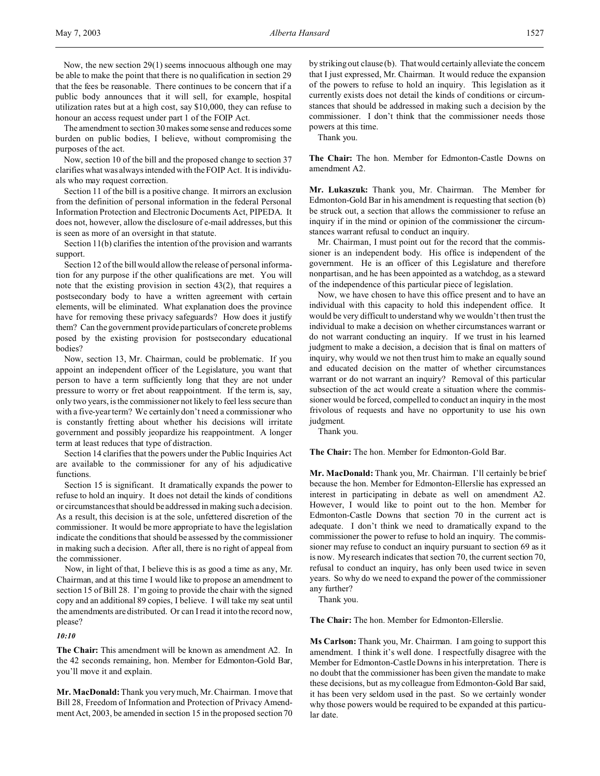Now, the new section 29(1) seems innocuous although one may be able to make the point that there is no qualification in section 29 that the fees be reasonable. There continues to be concern that if a public body announces that it will sell, for example, hospital utilization rates but at a high cost, say \$10,000, they can refuse to honour an access request under part 1 of the FOIP Act.

The amendment to section 30 makes some sense and reduces some burden on public bodies, I believe, without compromising the purposes of the act.

Now, section 10 of the bill and the proposed change to section 37 clarifies what was always intended with the FOIP Act. It is individuals who may request correction.

Section 11 of the bill is a positive change. It mirrors an exclusion from the definition of personal information in the federal Personal Information Protection and Electronic Documents Act, PIPEDA. It does not, however, allow the disclosure of e-mail addresses, but this is seen as more of an oversight in that statute.

Section 11(b) clarifies the intention of the provision and warrants support.

Section 12 of the bill would allow the release of personal information for any purpose if the other qualifications are met. You will note that the existing provision in section 43(2), that requires a postsecondary body to have a written agreement with certain elements, will be eliminated. What explanation does the province have for removing these privacy safeguards? How does it justify them? Can the government provide particulars of concrete problems posed by the existing provision for postsecondary educational bodies?

Now, section 13, Mr. Chairman, could be problematic. If you appoint an independent officer of the Legislature, you want that person to have a term sufficiently long that they are not under pressure to worry or fret about reappointment. If the term is, say, only two years, is the commissioner not likely to feel less secure than with a five-year term? We certainly don't need a commissioner who is constantly fretting about whether his decisions will irritate government and possibly jeopardize his reappointment. A longer term at least reduces that type of distraction.

Section 14 clarifies that the powers under the Public Inquiries Act are available to the commissioner for any of his adjudicative functions.

Section 15 is significant. It dramatically expands the power to refuse to hold an inquiry. It does not detail the kinds of conditions or circumstances that should be addressed in making such a decision. As a result, this decision is at the sole, unfettered discretion of the commissioner. It would be more appropriate to have the legislation indicate the conditions that should be assessed by the commissioner in making such a decision. After all, there is no right of appeal from the commissioner.

Now, in light of that, I believe this is as good a time as any, Mr. Chairman, and at this time I would like to propose an amendment to section 15 of Bill 28. I'm going to provide the chair with the signed copy and an additional 89 copies, I believe. I will take my seat until the amendments are distributed. Or can I read it into the record now, please?

## *10:10*

**The Chair:** This amendment will be known as amendment A2. In the 42 seconds remaining, hon. Member for Edmonton-Gold Bar, you'll move it and explain.

**Mr. MacDonald:** Thank you very much, Mr. Chairman. I move that Bill 28, Freedom of Information and Protection of Privacy Amendment Act, 2003, be amended in section 15 in the proposed section 70

by striking out clause (b). That would certainly alleviate the concern that I just expressed, Mr. Chairman. It would reduce the expansion of the powers to refuse to hold an inquiry. This legislation as it currently exists does not detail the kinds of conditions or circumstances that should be addressed in making such a decision by the commissioner. I don't think that the commissioner needs those powers at this time.

Thank you.

**The Chair:** The hon. Member for Edmonton-Castle Downs on amendment A2.

**Mr. Lukaszuk:** Thank you, Mr. Chairman. The Member for Edmonton-Gold Bar in his amendment is requesting that section (b) be struck out, a section that allows the commissioner to refuse an inquiry if in the mind or opinion of the commissioner the circumstances warrant refusal to conduct an inquiry.

Mr. Chairman, I must point out for the record that the commissioner is an independent body. His office is independent of the government. He is an officer of this Legislature and therefore nonpartisan, and he has been appointed as a watchdog, as a steward of the independence of this particular piece of legislation.

Now, we have chosen to have this office present and to have an individual with this capacity to hold this independent office. It would be very difficult to understand why we wouldn't then trust the individual to make a decision on whether circumstances warrant or do not warrant conducting an inquiry. If we trust in his learned judgment to make a decision, a decision that is final on matters of inquiry, why would we not then trust him to make an equally sound and educated decision on the matter of whether circumstances warrant or do not warrant an inquiry? Removal of this particular subsection of the act would create a situation where the commissioner would be forced, compelled to conduct an inquiry in the most frivolous of requests and have no opportunity to use his own judgment.

Thank you.

**The Chair:** The hon. Member for Edmonton-Gold Bar.

**Mr. MacDonald:** Thank you, Mr. Chairman. I'll certainly be brief because the hon. Member for Edmonton-Ellerslie has expressed an interest in participating in debate as well on amendment A2. However, I would like to point out to the hon. Member for Edmonton-Castle Downs that section 70 in the current act is adequate. I don't think we need to dramatically expand to the commissioner the power to refuse to hold an inquiry. The commissioner may refuse to conduct an inquiry pursuant to section 69 as it is now. My research indicates that section 70, the current section 70, refusal to conduct an inquiry, has only been used twice in seven years. So why do we need to expand the power of the commissioner any further?

Thank you.

**The Chair:** The hon. Member for Edmonton-Ellerslie.

**Ms Carlson:** Thank you, Mr. Chairman. I am going to support this amendment. I think it's well done. I respectfully disagree with the Member for Edmonton-Castle Downs in his interpretation. There is no doubt that the commissioner has been given the mandate to make these decisions, but as my colleague from Edmonton-Gold Bar said, it has been very seldom used in the past. So we certainly wonder why those powers would be required to be expanded at this particular date.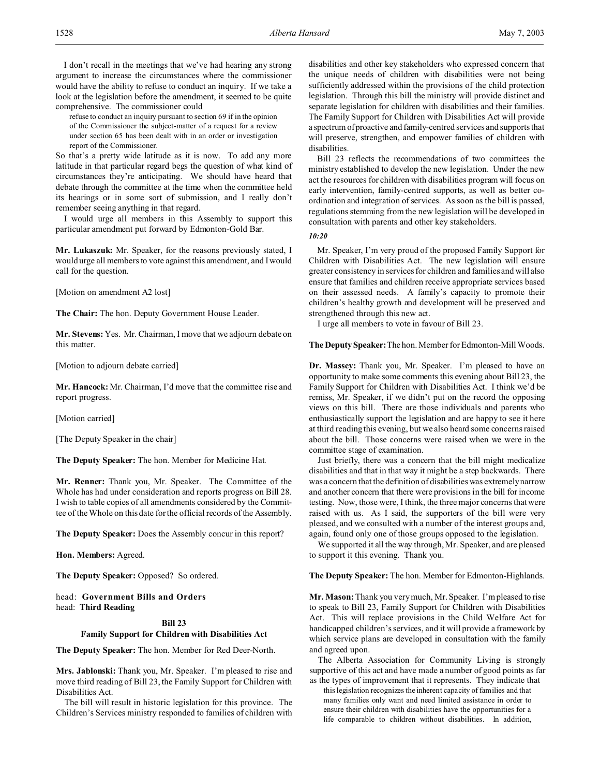I don't recall in the meetings that we've had hearing any strong argument to increase the circumstances where the commissioner would have the ability to refuse to conduct an inquiry. If we take a look at the legislation before the amendment, it seemed to be quite comprehensive. The commissioner could

refuse to conduct an inquiry pursuant to section 69 if in the opinion of the Commissioner the subject-matter of a request for a review under section 65 has been dealt with in an order or investigation report of the Commissioner.

So that's a pretty wide latitude as it is now. To add any more latitude in that particular regard begs the question of what kind of circumstances they're anticipating. We should have heard that debate through the committee at the time when the committee held its hearings or in some sort of submission, and I really don't remember seeing anything in that regard.

I would urge all members in this Assembly to support this particular amendment put forward by Edmonton-Gold Bar.

**Mr. Lukaszuk:** Mr. Speaker, for the reasons previously stated, I would urge all members to vote against this amendment, and I would call for the question.

[Motion on amendment A2 lost]

**The Chair:** The hon. Deputy Government House Leader.

**Mr. Stevens:** Yes. Mr. Chairman, I move that we adjourn debate on this matter.

[Motion to adjourn debate carried]

**Mr. Hancock:** Mr. Chairman, I'd move that the committee rise and report progress.

[Motion carried]

[The Deputy Speaker in the chair]

**The Deputy Speaker:** The hon. Member for Medicine Hat.

**Mr. Renner:** Thank you, Mr. Speaker. The Committee of the Whole has had under consideration and reports progress on Bill 28. I wish to table copies of all amendments considered by the Committee of the Whole on this date for the official records of the Assembly.

**The Deputy Speaker:** Does the Assembly concur in this report?

**Hon. Members:** Agreed.

**The Deputy Speaker:** Opposed? So ordered.

head: **Government Bills and Orders** head: **Third Reading**

## **Bill 23**

## **Family Support for Children with Disabilities Act**

**The Deputy Speaker:** The hon. Member for Red Deer-North.

**Mrs. Jablonski:** Thank you, Mr. Speaker. I'm pleased to rise and move third reading of Bill 23, the Family Support for Children with Disabilities Act.

The bill will result in historic legislation for this province. The Children's Services ministry responded to families of children with disabilities and other key stakeholders who expressed concern that the unique needs of children with disabilities were not being sufficiently addressed within the provisions of the child protection legislation. Through this bill the ministry will provide distinct and separate legislation for children with disabilities and their families. The Family Support for Children with Disabilities Act will provide a spectrum of proactive and family-centred services and supports that will preserve, strengthen, and empower families of children with disabilities.

Bill 23 reflects the recommendations of two committees the ministry established to develop the new legislation. Under the new act the resources for children with disabilities program will focus on early intervention, family-centred supports, as well as better coordination and integration of services. As soon as the bill is passed, regulations stemming from the new legislation will be developed in consultation with parents and other key stakeholders.

*10:20*

Mr. Speaker, I'm very proud of the proposed Family Support for Children with Disabilities Act. The new legislation will ensure greater consistency in services for children and families and will also ensure that families and children receive appropriate services based on their assessed needs. A family's capacity to promote their children's healthy growth and development will be preserved and strengthened through this new act.

I urge all members to vote in favour of Bill 23.

**The Deputy Speaker:**The hon. Member for Edmonton-Mill Woods.

**Dr. Massey:** Thank you, Mr. Speaker. I'm pleased to have an opportunity to make some comments this evening about Bill 23, the Family Support for Children with Disabilities Act. I think we'd be remiss, Mr. Speaker, if we didn't put on the record the opposing views on this bill. There are those individuals and parents who enthusiastically support the legislation and are happy to see it here at third reading this evening, but we also heard some concerns raised about the bill. Those concerns were raised when we were in the committee stage of examination.

Just briefly, there was a concern that the bill might medicalize disabilities and that in that way it might be a step backwards. There was a concern that the definition of disabilities was extremely narrow and another concern that there were provisions in the bill for income testing. Now, those were, I think, the three major concerns that were raised with us. As I said, the supporters of the bill were very pleased, and we consulted with a number of the interest groups and, again, found only one of those groups opposed to the legislation.

We supported it all the way through, Mr. Speaker, and are pleased to support it this evening. Thank you.

### **The Deputy Speaker:** The hon. Member for Edmonton-Highlands.

**Mr. Mason:** Thank you very much, Mr. Speaker. I'm pleased to rise to speak to Bill 23, Family Support for Children with Disabilities Act. This will replace provisions in the Child Welfare Act for handicapped children's services, and it will provide a framework by which service plans are developed in consultation with the family and agreed upon.

The Alberta Association for Community Living is strongly supportive of this act and have made a number of good points as far as the types of improvement that it represents. They indicate that

this legislation recognizes the inherent capacity of families and that many families only want and need limited assistance in order to ensure their children with disabilities have the opportunities for a life comparable to children without disabilities. In addition,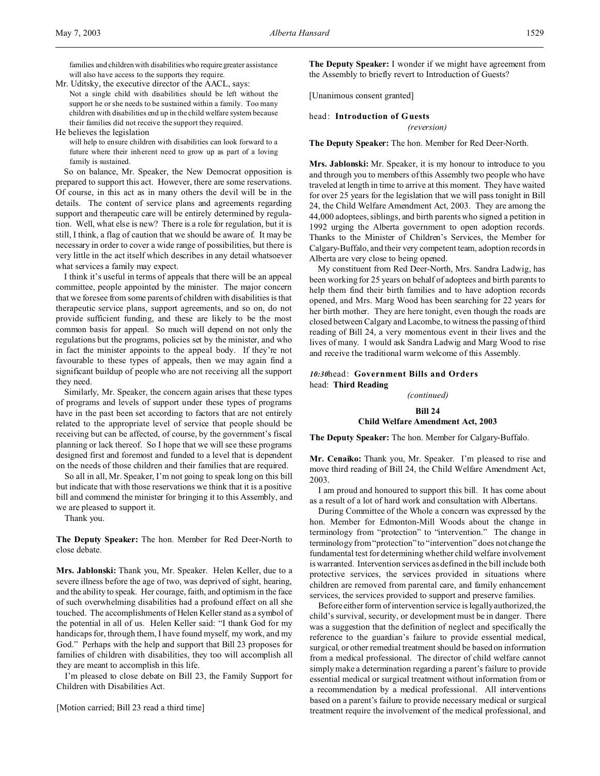families and children with disabilities who require greater assistance will also have access to the supports they require.

Mr. Uditsky, the executive director of the AACL, says: Not a single child with disabilities should be left without the support he or she needs to be sustained within a family. Too many children with disabilities end up in the child welfare system because their families did not receive the support they required.

He believes the legislation

will help to ensure children with disabilities can look forward to a future where their inherent need to grow up as part of a loving family is sustained.

So on balance, Mr. Speaker, the New Democrat opposition is prepared to support this act. However, there are some reservations. Of course, in this act as in many others the devil will be in the details. The content of service plans and agreements regarding support and therapeutic care will be entirely determined by regulation. Well, what else is new? There is a role for regulation, but it is still, I think, a flag of caution that we should be aware of. It may be necessary in order to cover a wide range of possibilities, but there is very little in the act itself which describes in any detail whatsoever what services a family may expect.

I think it's useful in terms of appeals that there will be an appeal committee, people appointed by the minister. The major concern that we foresee from some parents of children with disabilities is that therapeutic service plans, support agreements, and so on, do not provide sufficient funding, and these are likely to be the most common basis for appeal. So much will depend on not only the regulations but the programs, policies set by the minister, and who in fact the minister appoints to the appeal body. If they're not favourable to these types of appeals, then we may again find a significant buildup of people who are not receiving all the support they need.

Similarly, Mr. Speaker, the concern again arises that these types of programs and levels of support under these types of programs have in the past been set according to factors that are not entirely related to the appropriate level of service that people should be receiving but can be affected, of course, by the government's fiscal planning or lack thereof. So I hope that we will see these programs designed first and foremost and funded to a level that is dependent on the needs of those children and their families that are required.

So all in all, Mr. Speaker, I'm not going to speak long on this bill but indicate that with those reservations we think that it is a positive bill and commend the minister for bringing it to this Assembly, and we are pleased to support it.

Thank you.

**The Deputy Speaker:** The hon. Member for Red Deer-North to close debate.

**Mrs. Jablonski:** Thank you, Mr. Speaker. Helen Keller, due to a severe illness before the age of two, was deprived of sight, hearing, and the ability to speak. Her courage, faith, and optimism in the face of such overwhelming disabilities had a profound effect on all she touched. The accomplishments of Helen Keller stand as a symbol of the potential in all of us. Helen Keller said: "I thank God for my handicaps for, through them, I have found myself, my work, and my God." Perhaps with the help and support that Bill 23 proposes for families of children with disabilities, they too will accomplish all they are meant to accomplish in this life.

I'm pleased to close debate on Bill 23, the Family Support for Children with Disabilities Act.

[Motion carried; Bill 23 read a third time]

**The Deputy Speaker:** I wonder if we might have agreement from the Assembly to briefly revert to Introduction of Guests?

[Unanimous consent granted]

# head: **Introduction of Guests**

*(reversion)*

**The Deputy Speaker:** The hon. Member for Red Deer-North.

**Mrs. Jablonski:** Mr. Speaker, it is my honour to introduce to you and through you to members of this Assembly two people who have traveled at length in time to arrive at this moment. They have waited for over 25 years for the legislation that we will pass tonight in Bill 24, the Child Welfare Amendment Act, 2003. They are among the 44,000 adoptees, siblings, and birth parents who signed a petition in 1992 urging the Alberta government to open adoption records. Thanks to the Minister of Children's Services, the Member for Calgary-Buffalo, and their very competent team, adoption records in Alberta are very close to being opened.

My constituent from Red Deer-North, Mrs. Sandra Ladwig, has been working for 25 years on behalf of adoptees and birth parents to help them find their birth families and to have adoption records opened, and Mrs. Marg Wood has been searching for 22 years for her birth mother. They are here tonight, even though the roads are closed between Calgary and Lacombe, to witness the passing of third reading of Bill 24, a very momentous event in their lives and the lives of many. I would ask Sandra Ladwig and Marg Wood to rise and receive the traditional warm welcome of this Assembly.

## *10:30*head: **Government Bills and Orders** head: **Third Reading**

*(continued)*

## **Bill 24**

# **Child Welfare Amendment Act, 2003**

**The Deputy Speaker:** The hon. Member for Calgary-Buffalo.

**Mr. Cenaiko:** Thank you, Mr. Speaker. I'm pleased to rise and move third reading of Bill 24, the Child Welfare Amendment Act, 2003.

I am proud and honoured to support this bill. It has come about as a result of a lot of hard work and consultation with Albertans.

During Committee of the Whole a concern was expressed by the hon. Member for Edmonton-Mill Woods about the change in terminology from "protection" to "intervention." The change in terminology from "protection" to "intervention" does not change the fundamental test for determining whether child welfare involvement is warranted. Intervention services as defined in the bill include both protective services, the services provided in situations where children are removed from parental care, and family enhancement services, the services provided to support and preserve families.

Before either form of intervention service is legally authorized, the child's survival, security, or development must be in danger. There was a suggestion that the definition of neglect and specifically the reference to the guardian's failure to provide essential medical, surgical, or other remedial treatment should be based on information from a medical professional. The director of child welfare cannot simply make a determination regarding a parent's failure to provide essential medical or surgical treatment without information from or a recommendation by a medical professional. All interventions based on a parent's failure to provide necessary medical or surgical treatment require the involvement of the medical professional, and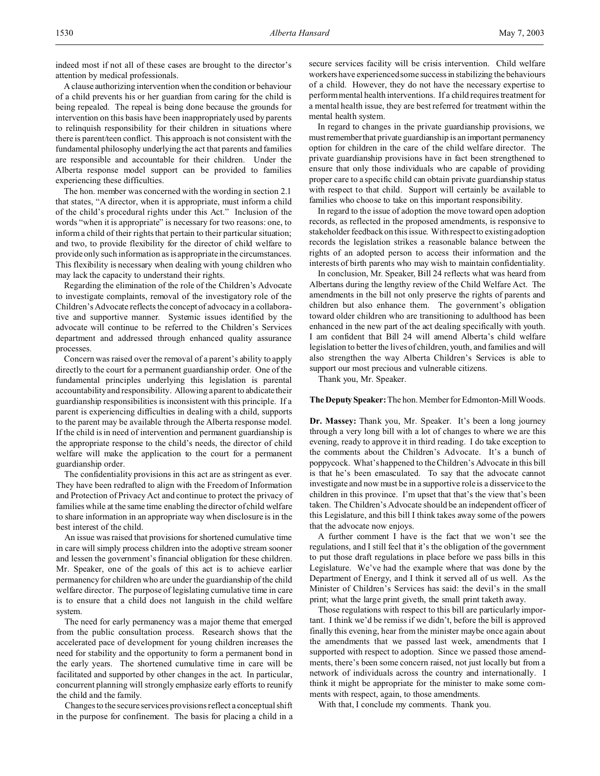indeed most if not all of these cases are brought to the director's attention by medical professionals.

A clause authorizing intervention when the condition or behaviour of a child prevents his or her guardian from caring for the child is being repealed. The repeal is being done because the grounds for intervention on this basis have been inappropriately used by parents to relinquish responsibility for their children in situations where there is parent/teen conflict. This approach is not consistent with the fundamental philosophy underlying the act that parents and families are responsible and accountable for their children. Under the Alberta response model support can be provided to families experiencing these difficulties.

The hon. member was concerned with the wording in section 2.1 that states, "A director, when it is appropriate, must inform a child of the child's procedural rights under this Act." Inclusion of the words "when it is appropriate" is necessary for two reasons: one, to inform a child of their rights that pertain to their particular situation; and two, to provide flexibility for the director of child welfare to provide only such information as is appropriate in the circumstances. This flexibility is necessary when dealing with young children who may lack the capacity to understand their rights.

Regarding the elimination of the role of the Children's Advocate to investigate complaints, removal of the investigatory role of the Children's Advocate reflects the concept of advocacy in a collaborative and supportive manner. Systemic issues identified by the advocate will continue to be referred to the Children's Services department and addressed through enhanced quality assurance processes.

Concern was raised over the removal of a parent's ability to apply directly to the court for a permanent guardianship order. One of the fundamental principles underlying this legislation is parental accountability and responsibility. Allowing a parent to abdicate their guardianship responsibilities is inconsistent with this principle. If a parent is experiencing difficulties in dealing with a child, supports to the parent may be available through the Alberta response model. If the child is in need of intervention and permanent guardianship is the appropriate response to the child's needs, the director of child welfare will make the application to the court for a permanent guardianship order.

The confidentiality provisions in this act are as stringent as ever. They have been redrafted to align with the Freedom of Information and Protection of Privacy Act and continue to protect the privacy of families while at the same time enabling the director of child welfare to share information in an appropriate way when disclosure is in the best interest of the child.

An issue was raised that provisions for shortened cumulative time in care will simply process children into the adoptive stream sooner and lessen the government's financial obligation for these children. Mr. Speaker, one of the goals of this act is to achieve earlier permanency for children who are under the guardianship of the child welfare director. The purpose of legislating cumulative time in care is to ensure that a child does not languish in the child welfare system.

The need for early permanency was a major theme that emerged from the public consultation process. Research shows that the accelerated pace of development for young children increases the need for stability and the opportunity to form a permanent bond in the early years. The shortened cumulative time in care will be facilitated and supported by other changes in the act. In particular, concurrent planning will strongly emphasize early efforts to reunify the child and the family.

Changes to the secure services provisions reflect a conceptual shift in the purpose for confinement. The basis for placing a child in a secure services facility will be crisis intervention. Child welfare workers have experienced some success in stabilizing the behaviours of a child. However, they do not have the necessary expertise to perform mental health interventions. If a child requires treatment for a mental health issue, they are best referred for treatment within the mental health system.

In regard to changes in the private guardianship provisions, we mustremember that private guardianship is an important permanency option for children in the care of the child welfare director. The private guardianship provisions have in fact been strengthened to ensure that only those individuals who are capable of providing proper care to a specific child can obtain private guardianship status with respect to that child. Support will certainly be available to families who choose to take on this important responsibility.

In regard to the issue of adoption the move toward open adoption records, as reflected in the proposed amendments, is responsive to stakeholder feedback on this issue. With respect to existing adoption records the legislation strikes a reasonable balance between the rights of an adopted person to access their information and the interests of birth parents who may wish to maintain confidentiality.

In conclusion, Mr. Speaker, Bill 24 reflects what was heard from Albertans during the lengthy review of the Child Welfare Act. The amendments in the bill not only preserve the rights of parents and children but also enhance them. The government's obligation toward older children who are transitioning to adulthood has been enhanced in the new part of the act dealing specifically with youth. I am confident that Bill 24 will amend Alberta's child welfare legislation to better the lives of children, youth, and families and will also strengthen the way Alberta Children's Services is able to support our most precious and vulnerable citizens.

Thank you, Mr. Speaker.

#### **The Deputy Speaker:** The hon. Member for Edmonton-Mill Woods.

**Dr. Massey:** Thank you, Mr. Speaker. It's been a long journey through a very long bill with a lot of changes to where we are this evening, ready to approve it in third reading. I do take exception to the comments about the Children's Advocate. It's a bunch of poppycock. What's happened to the Children's Advocate in this bill is that he's been emasculated. To say that the advocate cannot investigate and now must be in a supportive role is a disservice to the children in this province. I'm upset that that's the view that's been taken. The Children's Advocate should be an independent officer of this Legislature, and this bill I think takes away some of the powers that the advocate now enjoys.

A further comment I have is the fact that we won't see the regulations, and I still feel that it's the obligation of the government to put those draft regulations in place before we pass bills in this Legislature. We've had the example where that was done by the Department of Energy, and I think it served all of us well. As the Minister of Children's Services has said: the devil's in the small print; what the large print giveth, the small print taketh away.

Those regulations with respect to this bill are particularly important. I think we'd be remiss if we didn't, before the bill is approved finally this evening, hear from the minister maybe once again about the amendments that we passed last week, amendments that I supported with respect to adoption. Since we passed those amendments, there's been some concern raised, not just locally but from a network of individuals across the country and internationally. I think it might be appropriate for the minister to make some comments with respect, again, to those amendments.

With that, I conclude my comments. Thank you.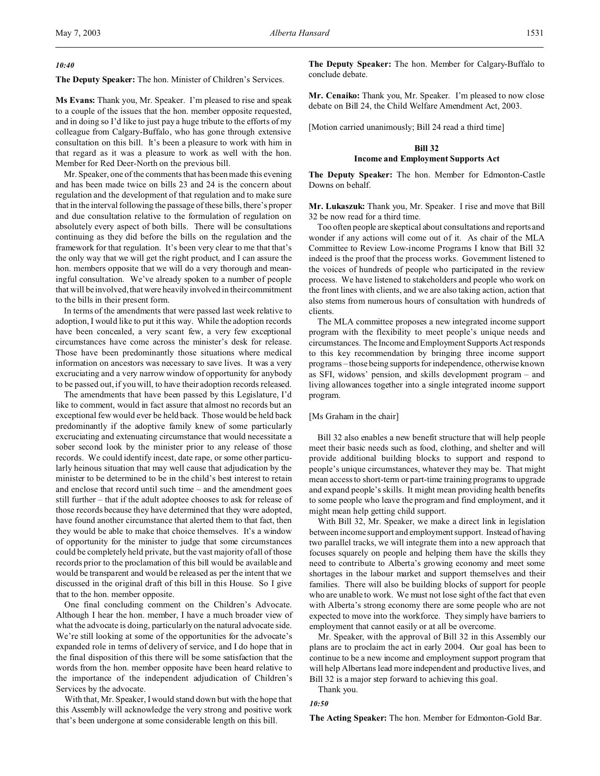#### *10:40*

**The Deputy Speaker:** The hon. Minister of Children's Services.

**Ms Evans:** Thank you, Mr. Speaker. I'm pleased to rise and speak to a couple of the issues that the hon. member opposite requested, and in doing so I'd like to just pay a huge tribute to the efforts of my colleague from Calgary-Buffalo, who has gone through extensive consultation on this bill. It's been a pleasure to work with him in that regard as it was a pleasure to work as well with the hon. Member for Red Deer-North on the previous bill.

Mr. Speaker, one of the comments that has been made this evening and has been made twice on bills 23 and 24 is the concern about regulation and the development of that regulation and to make sure that in the interval following the passage of these bills, there's proper and due consultation relative to the formulation of regulation on absolutely every aspect of both bills. There will be consultations continuing as they did before the bills on the regulation and the framework for that regulation. It's been very clear to me that that's the only way that we will get the right product, and I can assure the hon. members opposite that we will do a very thorough and meaningful consultation. We've already spoken to a number of people that will be involved, that were heavily involved in their commitment to the bills in their present form.

In terms of the amendments that were passed last week relative to adoption, I would like to put it this way. While the adoption records have been concealed, a very scant few, a very few exceptional circumstances have come across the minister's desk for release. Those have been predominantly those situations where medical information on ancestors was necessary to save lives. It was a very excruciating and a very narrow window of opportunity for anybody to be passed out, if you will, to have their adoption records released.

The amendments that have been passed by this Legislature, I'd like to comment, would in fact assure that almost no records but an exceptional few would ever be held back. Those would be held back predominantly if the adoptive family knew of some particularly excruciating and extenuating circumstance that would necessitate a sober second look by the minister prior to any release of those records. We could identify incest, date rape, or some other particularly heinous situation that may well cause that adjudication by the minister to be determined to be in the child's best interest to retain and enclose that record until such time – and the amendment goes still further – that if the adult adoptee chooses to ask for release of those records because they have determined that they were adopted, have found another circumstance that alerted them to that fact, then they would be able to make that choice themselves. It's a window of opportunity for the minister to judge that some circumstances could be completely held private, but the vast majority of all of those records prior to the proclamation of this bill would be available and would be transparent and would be released as per the intent that we discussed in the original draft of this bill in this House. So I give that to the hon. member opposite.

One final concluding comment on the Children's Advocate. Although I hear the hon. member, I have a much broader view of what the advocate is doing, particularly on the natural advocate side. We're still looking at some of the opportunities for the advocate's expanded role in terms of delivery of service, and I do hope that in the final disposition of this there will be some satisfaction that the words from the hon. member opposite have been heard relative to the importance of the independent adjudication of Children's Services by the advocate.

With that, Mr. Speaker, I would stand down but with the hope that this Assembly will acknowledge the very strong and positive work that's been undergone at some considerable length on this bill.

**The Deputy Speaker:** The hon. Member for Calgary-Buffalo to conclude debate.

**Mr. Cenaiko:** Thank you, Mr. Speaker. I'm pleased to now close debate on Bill 24, the Child Welfare Amendment Act, 2003.

[Motion carried unanimously; Bill 24 read a third time]

# **Bill 32 Income and Employment Supports Act**

**The Deputy Speaker:** The hon. Member for Edmonton-Castle Downs on behalf.

**Mr. Lukaszuk:** Thank you, Mr. Speaker. I rise and move that Bill 32 be now read for a third time.

Too often people are skeptical about consultations and reports and wonder if any actions will come out of it. As chair of the MLA Committee to Review Low-income Programs I know that Bill 32 indeed is the proof that the process works. Government listened to the voices of hundreds of people who participated in the review process. We have listened to stakeholders and people who work on the front lines with clients, and we are also taking action, action that also stems from numerous hours of consultation with hundreds of clients.

The MLA committee proposes a new integrated income support program with the flexibility to meet people's unique needs and circumstances. The Income and Employment Supports Act responds to this key recommendation by bringing three income support programs – those being supports for independence, otherwise known as SFI, widows' pension, and skills development program – and living allowances together into a single integrated income support program.

## [Ms Graham in the chair]

Bill 32 also enables a new benefit structure that will help people meet their basic needs such as food, clothing, and shelter and will provide additional building blocks to support and respond to people's unique circumstances, whatever they may be. That might mean access to short-term or part-time training programs to upgrade and expand people's skills. It might mean providing health benefits to some people who leave the program and find employment, and it might mean help getting child support.

With Bill 32, Mr. Speaker, we make a direct link in legislation between income support and employment support. Instead of having two parallel tracks, we will integrate them into a new approach that focuses squarely on people and helping them have the skills they need to contribute to Alberta's growing economy and meet some shortages in the labour market and support themselves and their families. There will also be building blocks of support for people who are unable to work. We must not lose sight of the fact that even with Alberta's strong economy there are some people who are not expected to move into the workforce. They simply have barriers to employment that cannot easily or at all be overcome.

Mr. Speaker, with the approval of Bill 32 in this Assembly our plans are to proclaim the act in early 2004. Our goal has been to continue to be a new income and employment support program that will help Albertans lead more independent and productive lives, and Bill 32 is a major step forward to achieving this goal.

Thank you.

#### *10:50*

**The Acting Speaker:** The hon. Member for Edmonton-Gold Bar.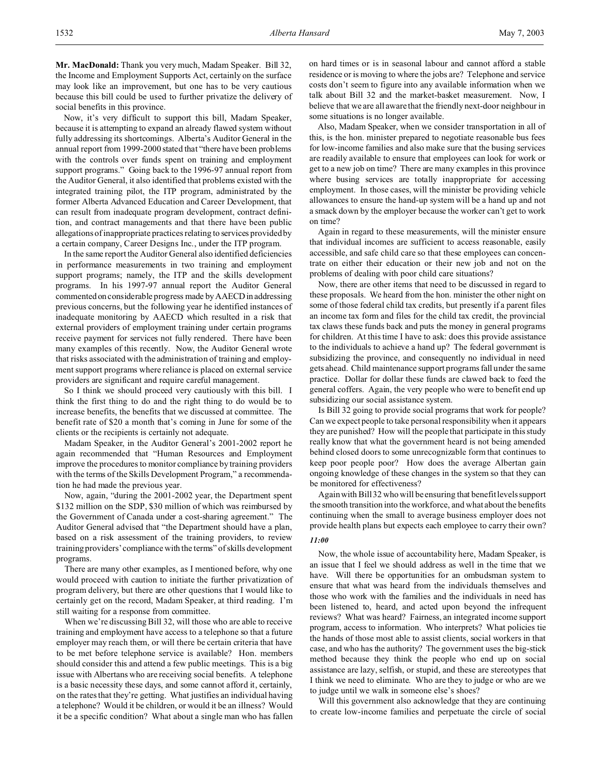**Mr. MacDonald:** Thank you very much, Madam Speaker. Bill 32, the Income and Employment Supports Act, certainly on the surface may look like an improvement, but one has to be very cautious because this bill could be used to further privatize the delivery of social benefits in this province.

Now, it's very difficult to support this bill, Madam Speaker, because it is attempting to expand an already flawed system without fully addressing its shortcomings. Alberta's Auditor General in the annual report from 1999-2000 stated that "there have been problems with the controls over funds spent on training and employment support programs." Going back to the 1996-97 annual report from the Auditor General, it also identified that problems existed with the integrated training pilot, the ITP program, administrated by the former Alberta Advanced Education and Career Development, that can result from inadequate program development, contract definition, and contract managements and that there have been public allegations of inappropriate practices relating to services provided by a certain company, Career Designs Inc., under the ITP program.

In the same report the Auditor General also identified deficiencies in performance measurements in two training and employment support programs; namely, the ITP and the skills development programs. In his 1997-97 annual report the Auditor General commented on considerable progress made by AAECDin addressing previous concerns, but the following year he identified instances of inadequate monitoring by AAECD which resulted in a risk that external providers of employment training under certain programs receive payment for services not fully rendered. There have been many examples of this recently. Now, the Auditor General wrote that risks associated with the administration of training and employment support programs where reliance is placed on external service providers are significant and require careful management.

So I think we should proceed very cautiously with this bill. I think the first thing to do and the right thing to do would be to increase benefits, the benefits that we discussed at committee. The benefit rate of \$20 a month that's coming in June for some of the clients or the recipients is certainly not adequate.

Madam Speaker, in the Auditor General's 2001-2002 report he again recommended that "Human Resources and Employment improve the procedures to monitor compliance by training providers with the terms of the Skills Development Program," a recommendation he had made the previous year.

Now, again, "during the 2001-2002 year, the Department spent \$132 million on the SDP, \$30 million of which was reimbursed by the Government of Canada under a cost-sharing agreement." The Auditor General advised that "the Department should have a plan, based on a risk assessment of the training providers, to review training providers' compliance with the terms" of skills development programs.

There are many other examples, as I mentioned before, why one would proceed with caution to initiate the further privatization of program delivery, but there are other questions that I would like to certainly get on the record, Madam Speaker, at third reading. I'm still waiting for a response from committee.

When we're discussing Bill 32, will those who are able to receive training and employment have access to a telephone so that a future employer may reach them, or will there be certain criteria that have to be met before telephone service is available? Hon. members should consider this and attend a few public meetings. This is a big issue with Albertans who are receiving social benefits. A telephone is a basic necessity these days, and some cannot afford it, certainly, on the rates that they're getting. What justifies an individual having a telephone? Would it be children, or would it be an illness? Would it be a specific condition? What about a single man who has fallen

on hard times or is in seasonal labour and cannot afford a stable residence or is moving to where the jobs are? Telephone and service costs don't seem to figure into any available information when we talk about Bill 32 and the market-basket measurement. Now, I believe that we are all aware that the friendly next-door neighbour in some situations is no longer available.

Also, Madam Speaker, when we consider transportation in all of this, is the hon. minister prepared to negotiate reasonable bus fees for low-income families and also make sure that the busing services are readily available to ensure that employees can look for work or get to a new job on time? There are many examples in this province where busing services are totally inappropriate for accessing employment. In those cases, will the minister be providing vehicle allowances to ensure the hand-up system will be a hand up and not a smack down by the employer because the worker can't get to work on time?

Again in regard to these measurements, will the minister ensure that individual incomes are sufficient to access reasonable, easily accessible, and safe child care so that these employees can concentrate on either their education or their new job and not on the problems of dealing with poor child care situations?

Now, there are other items that need to be discussed in regard to these proposals. We heard from the hon. minister the other night on some of those federal child tax credits, but presently if a parent files an income tax form and files for the child tax credit, the provincial tax claws these funds back and puts the money in general programs for children. At this time I have to ask: does this provide assistance to the individuals to achieve a hand up? The federal government is subsidizing the province, and consequently no individual in need gets ahead. Child maintenance support programs fall under the same practice. Dollar for dollar these funds are clawed back to feed the general coffers. Again, the very people who were to benefit end up subsidizing our social assistance system.

Is Bill 32 going to provide social programs that work for people? Can we expect people to take personal responsibility when it appears they are punished? How will the people that participate in this study really know that what the government heard is not being amended behind closed doors to some unrecognizable form that continues to keep poor people poor? How does the average Albertan gain ongoing knowledge of these changes in the system so that they can be monitored for effectiveness?

Again with Bill 32 who will be ensuring that benefit levels support the smooth transition into the workforce, and what about the benefits continuing when the small to average business employer does not provide health plans but expects each employee to carry their own?

#### *11:00*

Now, the whole issue of accountability here, Madam Speaker, is an issue that I feel we should address as well in the time that we have. Will there be opportunities for an ombudsman system to ensure that what was heard from the individuals themselves and those who work with the families and the individuals in need has been listened to, heard, and acted upon beyond the infrequent reviews? What was heard? Fairness, an integrated income support program, access to information. Who interprets? What policies tie the hands of those most able to assist clients, social workers in that case, and who has the authority? The government uses the big-stick method because they think the people who end up on social assistance are lazy, selfish, or stupid, and these are stereotypes that I think we need to eliminate. Who are they to judge or who are we to judge until we walk in someone else's shoes?

Will this government also acknowledge that they are continuing to create low-income families and perpetuate the circle of social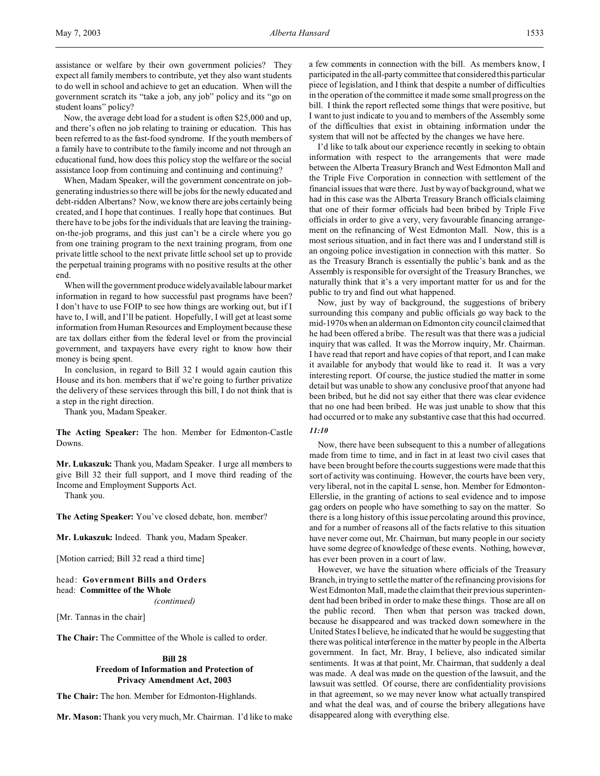assistance or welfare by their own government policies? They expect all family members to contribute, yet they also want students to do well in school and achieve to get an education. When will the government scratch its "take a job, any job" policy and its "go on student loans" policy?

Now, the average debt load for a student is often \$25,000 and up, and there's often no job relating to training or education. This has been referred to as the fast-food syndrome. If the youth members of a family have to contribute to the family income and not through an educational fund, how does this policy stop the welfare or the social assistance loop from continuing and continuing and continuing?

When, Madam Speaker, will the government concentrate on jobgenerating industries so there will be jobs for the newly educated and debt-ridden Albertans? Now, we know there are jobs certainly being created, and I hope that continues. I really hope that continues. But there have to be jobs for the individuals that are leaving the trainingon-the-job programs, and this just can't be a circle where you go from one training program to the next training program, from one private little school to the next private little school set up to provide the perpetual training programs with no positive results at the other end.

When will the government produce widelyavailable labour market information in regard to how successful past programs have been? I don't have to use FOIP to see how things are working out, but if I have to, I will, and I'll be patient. Hopefully, I will get at least some information from Human Resources and Employment because these are tax dollars either from the federal level or from the provincial government, and taxpayers have every right to know how their money is being spent.

In conclusion, in regard to Bill 32 I would again caution this House and its hon. members that if we're going to further privatize the delivery of these services through this bill, I do not think that is a step in the right direction.

Thank you, Madam Speaker.

**The Acting Speaker:** The hon. Member for Edmonton-Castle Downs.

**Mr. Lukaszuk:** Thank you, Madam Speaker. I urge all members to give Bill 32 their full support, and I move third reading of the Income and Employment Supports Act.

Thank you.

**The Acting Speaker:** You've closed debate, hon. member?

**Mr. Lukaszuk:** Indeed. Thank you, Madam Speaker.

[Motion carried; Bill 32 read a third time]

head: **Government Bills and Orders** head: **Committee of the Whole** *(continued)*

[Mr. Tannas in the chair]

**The Chair:** The Committee of the Whole is called to order.

# **Bill 28 Freedom of Information and Protection of Privacy Amendment Act, 2003**

**The Chair:** The hon. Member for Edmonton-Highlands.

**Mr. Mason:** Thank you very much, Mr. Chairman. I'd like to make

a few comments in connection with the bill. As members know, I participated in the all-party committee that considered this particular piece of legislation, and I think that despite a number of difficulties in the operation of the committee it made some small progress on the bill. I think the report reflected some things that were positive, but I want to just indicate to you and to members of the Assembly some of the difficulties that exist in obtaining information under the system that will not be affected by the changes we have here.

I'd like to talk about our experience recently in seeking to obtain information with respect to the arrangements that were made between the Alberta Treasury Branch and West Edmonton Mall and the Triple Five Corporation in connection with settlement of the financial issues that were there. Just by way of background, what we had in this case was the Alberta Treasury Branch officials claiming that one of their former officials had been bribed by Triple Five officials in order to give a very, very favourable financing arrangement on the refinancing of West Edmonton Mall. Now, this is a most serious situation, and in fact there was and I understand still is an ongoing police investigation in connection with this matter. So as the Treasury Branch is essentially the public's bank and as the Assembly is responsible for oversight of the Treasury Branches, we naturally think that it's a very important matter for us and for the public to try and find out what happened.

Now, just by way of background, the suggestions of bribery surrounding this company and public officials go way back to the mid-1970s when an alderman on Edmonton city council claimed that he had been offered a bribe. The result was that there was a judicial inquiry that was called. It was the Morrow inquiry, Mr. Chairman. I have read that report and have copies of that report, and I can make it available for anybody that would like to read it. It was a very interesting report. Of course, the justice studied the matter in some detail but was unable to show any conclusive proof that anyone had been bribed, but he did not say either that there was clear evidence that no one had been bribed. He was just unable to show that this had occurred or to make any substantive case that this had occurred.

### *11:10*

Now, there have been subsequent to this a number of allegations made from time to time, and in fact in at least two civil cases that have been brought before the courts suggestions were made that this sort of activity was continuing. However, the courts have been very, very liberal, not in the capital L sense, hon. Member for Edmonton-Ellerslie, in the granting of actions to seal evidence and to impose gag orders on people who have something to say on the matter. So there is a long history of this issue percolating around this province, and for a number of reasons all of the facts relative to this situation have never come out, Mr. Chairman, but many people in our society have some degree of knowledge of these events. Nothing, however, has ever been proven in a court of law.

However, we have the situation where officials of the Treasury Branch, in trying to settle the matter of the refinancing provisions for West Edmonton Mall, made the claim that their previous superintendent had been bribed in order to make these things. Those are all on the public record. Then when that person was tracked down, because he disappeared and was tracked down somewhere in the United States I believe, he indicated that he would be suggesting that there was political interference in the matter by people in the Alberta government. In fact, Mr. Bray, I believe, also indicated similar sentiments. It was at that point, Mr. Chairman, that suddenly a deal was made. A deal was made on the question of the lawsuit, and the lawsuit was settled. Of course, there are confidentiality provisions in that agreement, so we may never know what actually transpired and what the deal was, and of course the bribery allegations have disappeared along with everything else.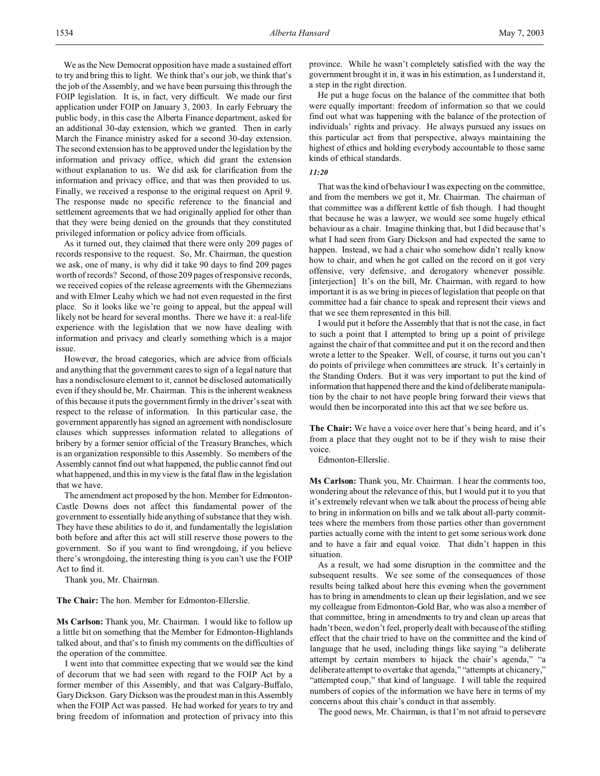We as the New Democrat opposition have made a sustained effort to try and bring this to light. We think that's our job, we think that's the job of the Assembly, and we have been pursuing this through the FOIP legislation. It is, in fact, very difficult. We made our first application under FOIP on January 3, 2003. In early February the public body, in this case the Alberta Finance department, asked for an additional 30-day extension, which we granted. Then in early March the Finance ministry asked for a second 30-day extension. The second extension has to be approved under the legislation by the information and privacy office, which did grant the extension without explanation to us. We did ask for clarification from the information and privacy office, and that was then provided to us. Finally, we received a response to the original request on April 9. The response made no specific reference to the financial and settlement agreements that we had originally applied for other than that they were being denied on the grounds that they constituted privileged information or policy advice from officials.

As it turned out, they claimed that there were only 209 pages of records responsive to the request. So, Mr. Chairman, the question we ask, one of many, is why did it take 90 days to find 209 pages worth of records? Second, of those 209 pages of responsive records, we received copies of the release agreements with the Ghermezians and with Elmer Leahy which we had not even requested in the first place. So it looks like we're going to appeal, but the appeal will likely not be heard for several months. There we have it: a real-life experience with the legislation that we now have dealing with information and privacy and clearly something which is a major issue.

However, the broad categories, which are advice from officials and anything that the government cares to sign of a legal nature that has a nondisclosure element to it, cannot be disclosed automatically even if they should be, Mr. Chairman. This is the inherent weakness of this because it puts the government firmly in the driver's seat with respect to the release of information. In this particular case, the government apparently has signed an agreement with nondisclosure clauses which suppresses information related to allegations of bribery by a former senior official of the Treasury Branches, which is an organization responsible to this Assembly. So members of the Assembly cannot find out what happened, the public cannot find out what happened, and this in my view is the fatal flaw in the legislation that we have.

The amendment act proposed by the hon. Member for Edmonton-Castle Downs does not affect this fundamental power of the government to essentially hide anything of substance that they wish. They have these abilities to do it, and fundamentally the legislation both before and after this act will still reserve those powers to the government. So if you want to find wrongdoing, if you believe there's wrongdoing, the interesting thing is you can't use the FOIP Act to find it.

Thank you, Mr. Chairman.

**The Chair:** The hon. Member for Edmonton-Ellerslie.

**Ms Carlson:** Thank you, Mr. Chairman. I would like to follow up a little bit on something that the Member for Edmonton-Highlands talked about, and that's to finish my comments on the difficulties of the operation of the committee.

I went into that committee expecting that we would see the kind of decorum that we had seen with regard to the FOIP Act by a former member of this Assembly, and that was Calgary-Buffalo, Gary Dickson. Gary Dickson was the proudest man in this Assembly when the FOIP Act was passed. He had worked for years to try and bring freedom of information and protection of privacy into this

province. While he wasn't completely satisfied with the way the government brought it in, it was in his estimation, as I understand it, a step in the right direction.

He put a huge focus on the balance of the committee that both were equally important: freedom of information so that we could find out what was happening with the balance of the protection of individuals' rights and privacy. He always pursued any issues on this particular act from that perspective, always maintaining the highest of ethics and holding everybody accountable to those same kinds of ethical standards.

## *11:20*

That was the kind of behaviour I was expecting on the committee, and from the members we got it, Mr. Chairman. The chairman of that committee was a different kettle of fish though. I had thought that because he was a lawyer, we would see some hugely ethical behaviour as a chair. Imagine thinking that, but I did because that's what I had seen from Gary Dickson and had expected the same to happen. Instead, we had a chair who somehow didn't really know how to chair, and when he got called on the record on it got very offensive, very defensive, and derogatory whenever possible. [interjection] It's on the bill, Mr. Chairman, with regard to how important it is as we bring in pieces of legislation that people on that committee had a fair chance to speak and represent their views and that we see them represented in this bill.

I would put it before the Assembly that that is not the case, in fact to such a point that I attempted to bring up a point of privilege against the chair of that committee and put it on the record and then wrote a letter to the Speaker. Well, of course, it turns out you can't do points of privilege when committees are struck. It's certainly in the Standing Orders. But it was very important to put the kind of information that happened there and the kind of deliberate manipulation by the chair to not have people bring forward their views that would then be incorporated into this act that we see before us.

**The Chair:** We have a voice over here that's being heard, and it's from a place that they ought not to be if they wish to raise their voice.

Edmonton-Ellerslie.

**Ms Carlson:** Thank you, Mr. Chairman. I hear the comments too, wondering about the relevance of this, but I would put it to you that it's extremely relevant when we talk about the process of being able to bring in information on bills and we talk about all-party committees where the members from those parties other than government parties actually come with the intent to get some serious work done and to have a fair and equal voice. That didn't happen in this situation.

As a result, we had some disruption in the committee and the subsequent results. We see some of the consequences of those results being talked about here this evening when the government has to bring in amendments to clean up their legislation, and we see my colleague from Edmonton-Gold Bar, who was also a member of that committee, bring in amendments to try and clean up areas that hadn't been, we don't feel, properly dealt with because of the stifling effect that the chair tried to have on the committee and the kind of language that he used, including things like saying "a deliberate attempt by certain members to hijack the chair's agenda," "a deliberate attempt to overtake that agenda," "attempts at chicanery," "attempted coup," that kind of language. I will table the required numbers of copies of the information we have here in terms of my concerns about this chair's conduct in that assembly.

The good news, Mr. Chairman, is that I'm not afraid to persevere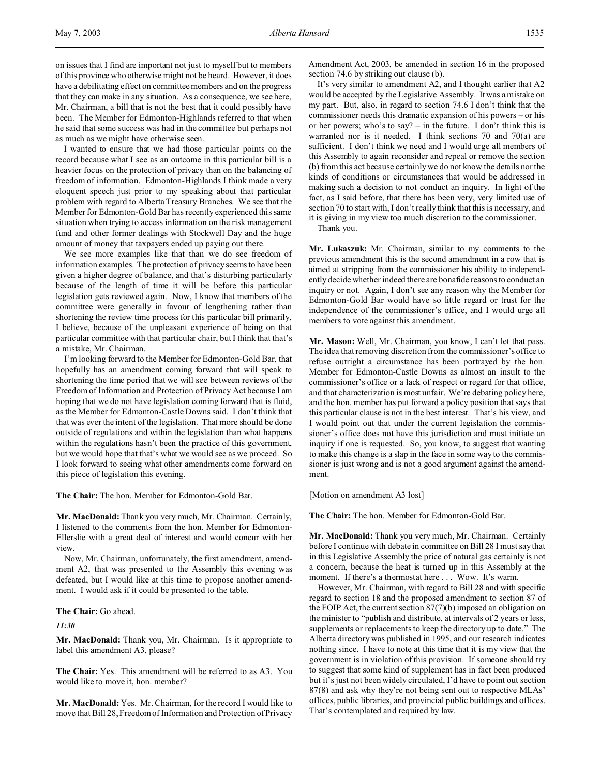I wanted to ensure that we had those particular points on the record because what I see as an outcome in this particular bill is a heavier focus on the protection of privacy than on the balancing of freedom of information. Edmonton-Highlands I think made a very eloquent speech just prior to my speaking about that particular problem with regard to Alberta Treasury Branches. We see that the Member for Edmonton-Gold Bar has recently experienced this same situation when trying to access information on the risk management fund and other former dealings with Stockwell Day and the huge amount of money that taxpayers ended up paying out there.

We see more examples like that than we do see freedom of information examples. The protection of privacy seems to have been given a higher degree of balance, and that's disturbing particularly because of the length of time it will be before this particular legislation gets reviewed again. Now, I know that members of the committee were generally in favour of lengthening rather than shortening the review time process for this particular bill primarily, I believe, because of the unpleasant experience of being on that particular committee with that particular chair, but I think that that's a mistake, Mr. Chairman.

I'm looking forward to the Member for Edmonton-Gold Bar, that hopefully has an amendment coming forward that will speak to shortening the time period that we will see between reviews of the Freedom of Information and Protection of Privacy Act because I am hoping that we do not have legislation coming forward that is fluid, as the Member for Edmonton-Castle Downs said. I don't think that that was ever the intent of the legislation. That more should be done outside of regulations and within the legislation than what happens within the regulations hasn't been the practice of this government, but we would hope that that's what we would see as we proceed. So I look forward to seeing what other amendments come forward on this piece of legislation this evening.

**The Chair:** The hon. Member for Edmonton-Gold Bar.

**Mr. MacDonald:** Thank you very much, Mr. Chairman. Certainly, I listened to the comments from the hon. Member for Edmonton-Ellerslie with a great deal of interest and would concur with her view.

Now, Mr. Chairman, unfortunately, the first amendment, amendment A2, that was presented to the Assembly this evening was defeated, but I would like at this time to propose another amendment. I would ask if it could be presented to the table.

### **The Chair:** Go ahead.

# *11:30*

**Mr. MacDonald:** Thank you, Mr. Chairman. Is it appropriate to label this amendment A3, please?

**The Chair:** Yes. This amendment will be referred to as A3. You would like to move it, hon. member?

**Mr. MacDonald:** Yes. Mr. Chairman, for the record I would like to move that Bill 28, Freedom of Information and Protection of Privacy Amendment Act, 2003, be amended in section 16 in the proposed section 74.6 by striking out clause (b).

It's very similar to amendment A2, and I thought earlier that A2 would be accepted by the Legislative Assembly. It was a mistake on my part. But, also, in regard to section 74.6 I don't think that the commissioner needs this dramatic expansion of his powers – or his or her powers; who's to say? – in the future. I don't think this is warranted nor is it needed. I think sections 70 and 70(a) are sufficient. I don't think we need and I would urge all members of this Assembly to again reconsider and repeal or remove the section (b) from this act because certainly we do not know the details nor the kinds of conditions or circumstances that would be addressed in making such a decision to not conduct an inquiry. In light of the fact, as I said before, that there has been very, very limited use of section 70 to start with, I don't really think that this is necessary, and it is giving in my view too much discretion to the commissioner.

Thank you.

**Mr. Lukaszuk:** Mr. Chairman, similar to my comments to the previous amendment this is the second amendment in a row that is aimed at stripping from the commissioner his ability to independently decide whether indeed there are bonafide reasons to conduct an inquiry or not. Again, I don't see any reason why the Member for Edmonton-Gold Bar would have so little regard or trust for the independence of the commissioner's office, and I would urge all members to vote against this amendment.

**Mr. Mason:** Well, Mr. Chairman, you know, I can't let that pass. The idea that removing discretion from the commissioner's office to refuse outright a circumstance has been portrayed by the hon. Member for Edmonton-Castle Downs as almost an insult to the commissioner's office or a lack of respect or regard for that office, and that characterization is most unfair. We're debating policy here, and the hon. member has put forward a policy position that says that this particular clause is not in the best interest. That's his view, and I would point out that under the current legislation the commissioner's office does not have this jurisdiction and must initiate an inquiry if one is requested. So, you know, to suggest that wanting to make this change is a slap in the face in some way to the commissioner is just wrong and is not a good argument against the amendment.

[Motion on amendment A3 lost]

**The Chair:** The hon. Member for Edmonton-Gold Bar.

**Mr. MacDonald:** Thank you very much, Mr. Chairman. Certainly before I continue with debate in committee on Bill 28 I must say that in this Legislative Assembly the price of natural gas certainly is not a concern, because the heat is turned up in this Assembly at the moment. If there's a thermostat here . . . Wow. It's warm.

However, Mr. Chairman, with regard to Bill 28 and with specific regard to section 18 and the proposed amendment to section 87 of the FOIP Act, the current section 87(7)(b) imposed an obligation on the minister to "publish and distribute, at intervals of 2 years or less, supplements or replacements to keep the directory up to date." The Alberta directory was published in 1995, and our research indicates nothing since. I have to note at this time that it is my view that the government is in violation of this provision. If someone should try to suggest that some kind of supplement has in fact been produced but it's just not been widely circulated, I'd have to point out section 87(8) and ask why they're not being sent out to respective MLAs' offices, public libraries, and provincial public buildings and offices. That's contemplated and required by law.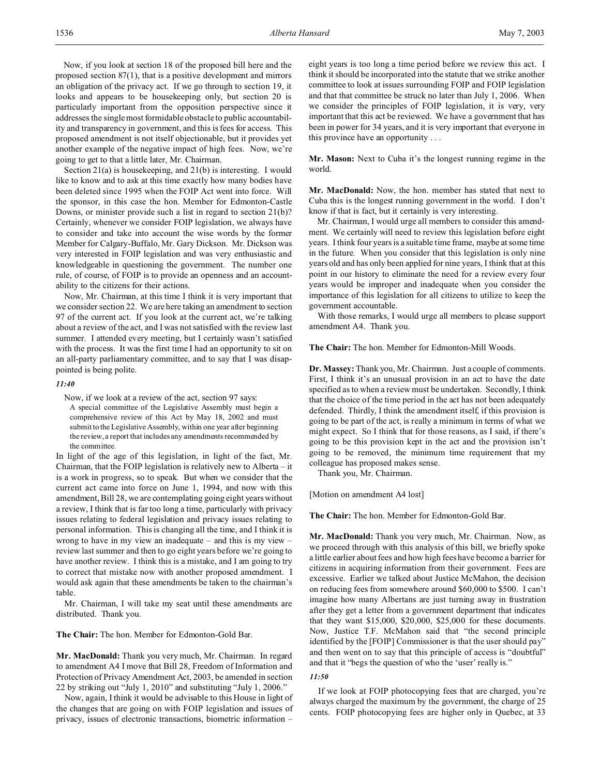Now, if you look at section 18 of the proposed bill here and the proposed section 87(1), that is a positive development and mirrors an obligation of the privacy act. If we go through to section 19, it looks and appears to be housekeeping only, but section 20 is particularly important from the opposition perspective since it addresses the single most formidable obstacle to public accountability and transparency in government, and this is fees for access. This proposed amendment is not itself objectionable, but it provides yet another example of the negative impact of high fees. Now, we're going to get to that a little later, Mr. Chairman.

Section 21(a) is housekeeping, and 21(b) is interesting. I would like to know and to ask at this time exactly how many bodies have been deleted since 1995 when the FOIP Act went into force. Will the sponsor, in this case the hon. Member for Edmonton-Castle Downs, or minister provide such a list in regard to section 21(b)? Certainly, whenever we consider FOIP legislation, we always have to consider and take into account the wise words by the former Member for Calgary-Buffalo, Mr. Gary Dickson. Mr. Dickson was very interested in FOIP legislation and was very enthusiastic and knowledgeable in questioning the government. The number one rule, of course, of FOIP is to provide an openness and an accountability to the citizens for their actions.

Now, Mr. Chairman, at this time I think it is very important that we consider section 22. We are here taking an amendment to section 97 of the current act. If you look at the current act, we're talking about a review of the act, and I was not satisfied with the review last summer. I attended every meeting, but I certainly wasn't satisfied with the process. It was the first time I had an opportunity to sit on an all-party parliamentary committee, and to say that I was disappointed is being polite.

#### *11:40*

Now, if we look at a review of the act, section 97 says: A special committee of the Legislative Assembly must begin a comprehensive review of this Act by May 18, 2002 and must submit to the Legislative Assembly, within one year after beginning the review, a report that includes any amendments recommended by the committee.

In light of the age of this legislation, in light of the fact, Mr. Chairman, that the FOIP legislation is relatively new to Alberta – it is a work in progress, so to speak. But when we consider that the current act came into force on June 1, 1994, and now with this amendment, Bill 28, we are contemplating going eight years without a review, I think that is far too long a time, particularly with privacy issues relating to federal legislation and privacy issues relating to personal information. This is changing all the time, and I think it is wrong to have in my view an inadequate – and this is my view – review last summer and then to go eight years before we're going to have another review. I think this is a mistake, and I am going to try to correct that mistake now with another proposed amendment. I would ask again that these amendments be taken to the chairman's table.

Mr. Chairman, I will take my seat until these amendments are distributed. Thank you.

**The Chair:** The hon. Member for Edmonton-Gold Bar.

**Mr. MacDonald:** Thank you very much, Mr. Chairman. In regard to amendment A4 I move that Bill 28, Freedom of Information and Protection of Privacy Amendment Act, 2003, be amended in section 22 by striking out "July 1, 2010" and substituting "July 1, 2006."

Now, again, I think it would be advisable to this House in light of the changes that are going on with FOIP legislation and issues of privacy, issues of electronic transactions, biometric information –

eight years is too long a time period before we review this act. I think it should be incorporated into the statute that we strike another committee to look at issues surrounding FOIP and FOIP legislation and that that committee be struck no later than July 1, 2006. When we consider the principles of FOIP legislation, it is very, very important that this act be reviewed. We have a government that has been in power for 34 years, and it is very important that everyone in this province have an opportunity . . .

**Mr. Mason:** Next to Cuba it's the longest running regime in the world.

**Mr. MacDonald:** Now, the hon. member has stated that next to Cuba this is the longest running government in the world. I don't know if that is fact, but it certainly is very interesting.

Mr. Chairman, I would urge all members to consider this amendment. We certainly will need to review this legislation before eight years. I think four years is a suitable time frame, maybe at some time in the future. When you consider that this legislation is only nine years old and has only been applied for nine years, I think that at this point in our history to eliminate the need for a review every four years would be improper and inadequate when you consider the importance of this legislation for all citizens to utilize to keep the government accountable.

With those remarks, I would urge all members to please support amendment A4. Thank you.

**The Chair:** The hon. Member for Edmonton-Mill Woods.

**Dr. Massey:** Thank you, Mr. Chairman. Just a couple of comments. First, I think it's an unusual provision in an act to have the date specified as to when a review must be undertaken. Secondly, I think that the choice of the time period in the act has not been adequately defended. Thirdly, I think the amendment itself, if this provision is going to be part of the act, is really a minimum in terms of what we might expect. So I think that for those reasons, as I said, if there's going to be this provision kept in the act and the provision isn't going to be removed, the minimum time requirement that my colleague has proposed makes sense.

Thank you, Mr. Chairman.

[Motion on amendment A4 lost]

**The Chair:** The hon. Member for Edmonton-Gold Bar.

**Mr. MacDonald:** Thank you very much, Mr. Chairman. Now, as we proceed through with this analysis of this bill, we briefly spoke a little earlier about fees and how high fees have become a barrier for citizens in acquiring information from their government. Fees are excessive. Earlier we talked about Justice McMahon, the decision on reducing fees from somewhere around \$60,000 to \$500. I can't imagine how many Albertans are just turning away in frustration after they get a letter from a government department that indicates that they want \$15,000, \$20,000, \$25,000 for these documents. Now, Justice T.F. McMahon said that "the second principle identified by the [FOIP] Commissioner is that the user should pay" and then went on to say that this principle of access is "doubtful" and that it "begs the question of who the 'user' really is."

### *11:50*

If we look at FOIP photocopying fees that are charged, you're always charged the maximum by the government, the charge of 25 cents. FOIP photocopying fees are higher only in Quebec, at 33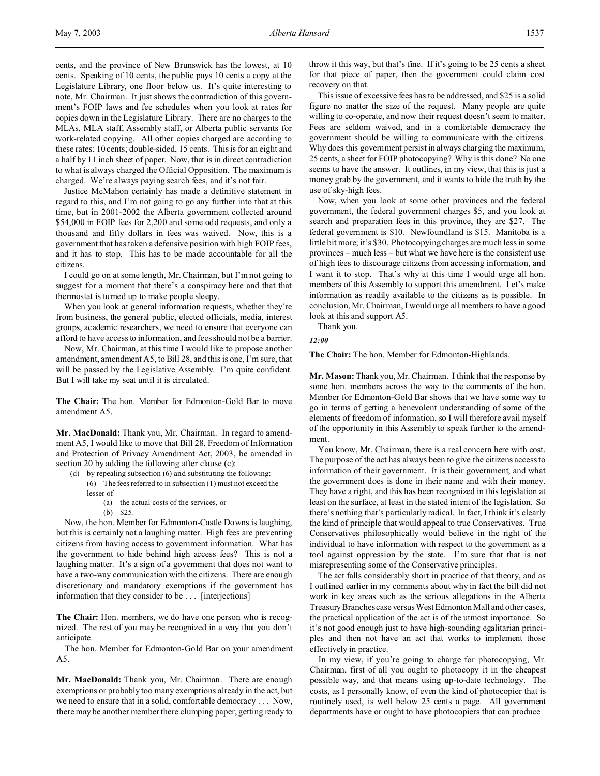cents, and the province of New Brunswick has the lowest, at 10 cents. Speaking of 10 cents, the public pays 10 cents a copy at the Legislature Library, one floor below us. It's quite interesting to note, Mr. Chairman. It just shows the contradiction of this government's FOIP laws and fee schedules when you look at rates for copies down in the Legislature Library. There are no charges to the MLAs, MLA staff, Assembly staff, or Alberta public servants for work-related copying. All other copies charged are according to these rates: 10 cents; double-sided, 15 cents. This is for an eight and a half by 11 inch sheet of paper. Now, that is in direct contradiction to what is always charged the Official Opposition. The maximum is charged. We're always paying search fees, and it's not fair.

Justice McMahon certainly has made a definitive statement in regard to this, and I'm not going to go any further into that at this time, but in 2001-2002 the Alberta government collected around \$54,000 in FOIP fees for 2,200 and some odd requests, and only a thousand and fifty dollars in fees was waived. Now, this is a government that has taken a defensive position with high FOIP fees, and it has to stop. This has to be made accountable for all the citizens.

I could go on at some length, Mr. Chairman, but I'm not going to suggest for a moment that there's a conspiracy here and that that thermostat is turned up to make people sleepy.

When you look at general information requests, whether they're from business, the general public, elected officials, media, interest groups, academic researchers, we need to ensure that everyone can afford to have access to information, and fees should not be a barrier.

Now, Mr. Chairman, at this time I would like to propose another amendment, amendment A5, to Bill 28, and this is one, I'm sure, that will be passed by the Legislative Assembly. I'm quite confident. But I will take my seat until it is circulated.

**The Chair:** The hon. Member for Edmonton-Gold Bar to move amendment A5.

**Mr. MacDonald:** Thank you, Mr. Chairman. In regard to amendment A5, I would like to move that Bill 28, Freedom of Information and Protection of Privacy Amendment Act, 2003, be amended in section 20 by adding the following after clause (c):

- (d) by repealing subsection (6) and substituting the following: (6) The fees referred to in subsection (1) must not exceed the lesser of
	- (a) the actual costs of the services, or
	- (b) \$25.

Now, the hon. Member for Edmonton-Castle Downs is laughing, but this is certainly not a laughing matter. High fees are preventing citizens from having access to government information. What has the government to hide behind high access fees? This is not a laughing matter. It's a sign of a government that does not want to have a two-way communication with the citizens. There are enough discretionary and mandatory exemptions if the government has information that they consider to be . . . [interjections]

**The Chair:** Hon. members, we do have one person who is recognized. The rest of you may be recognized in a way that you don't anticipate.

The hon. Member for Edmonton-Gold Bar on your amendment A5.

**Mr. MacDonald:** Thank you, Mr. Chairman. There are enough exemptions or probably too many exemptions already in the act, but we need to ensure that in a solid, comfortable democracy . . . Now, there may be another member there clumping paper, getting ready to

throw it this way, but that's fine. If it's going to be 25 cents a sheet for that piece of paper, then the government could claim cost recovery on that.

This issue of excessive fees has to be addressed, and \$25 is a solid figure no matter the size of the request. Many people are quite willing to co-operate, and now their request doesn't seem to matter. Fees are seldom waived, and in a comfortable democracy the government should be willing to communicate with the citizens. Why does this government persist in always charging the maximum, 25 cents, a sheet for FOIP photocopying? Why is this done? No one seems to have the answer. It outlines, in my view, that this is just a money grab by the government, and it wants to hide the truth by the use of sky-high fees.

Now, when you look at some other provinces and the federal government, the federal government charges \$5, and you look at search and preparation fees in this province, they are \$27. The federal government is \$10. Newfoundland is \$15. Manitoba is a little bit more; it's \$30. Photocopying charges are much less in some provinces – much less – but what we have here is the consistent use of high fees to discourage citizens from accessing information, and I want it to stop. That's why at this time I would urge all hon. members of this Assembly to support this amendment. Let's make information as readily available to the citizens as is possible. In conclusion, Mr. Chairman, I would urge all members to have a good look at this and support A5.

Thank you.

# *12:00*

**The Chair:** The hon. Member for Edmonton-Highlands.

**Mr. Mason:** Thank you, Mr. Chairman. I think that the response by some hon. members across the way to the comments of the hon. Member for Edmonton-Gold Bar shows that we have some way to go in terms of getting a benevolent understanding of some of the elements of freedom of information, so I will therefore avail myself of the opportunity in this Assembly to speak further to the amendment.

You know, Mr. Chairman, there is a real concern here with cost. The purpose of the act has always been to give the citizens access to information of their government. It is their government, and what the government does is done in their name and with their money. They have a right, and this has been recognized in this legislation at least on the surface, at least in the stated intent of the legislation. So there's nothing that's particularly radical. In fact, I think it's clearly the kind of principle that would appeal to true Conservatives. True Conservatives philosophically would believe in the right of the individual to have information with respect to the government as a tool against oppression by the state. I'm sure that that is not misrepresenting some of the Conservative principles.

The act falls considerably short in practice of that theory, and as I outlined earlier in my comments about why in fact the bill did not work in key areas such as the serious allegations in the Alberta Treasury Branches case versus West Edmonton Mall and other cases, the practical application of the act is of the utmost importance. So it's not good enough just to have high-sounding egalitarian principles and then not have an act that works to implement those effectively in practice.

In my view, if you're going to charge for photocopying, Mr. Chairman, first of all you ought to photocopy it in the cheapest possible way, and that means using up-to-date technology. The costs, as I personally know, of even the kind of photocopier that is routinely used, is well below 25 cents a page. All government departments have or ought to have photocopiers that can produce